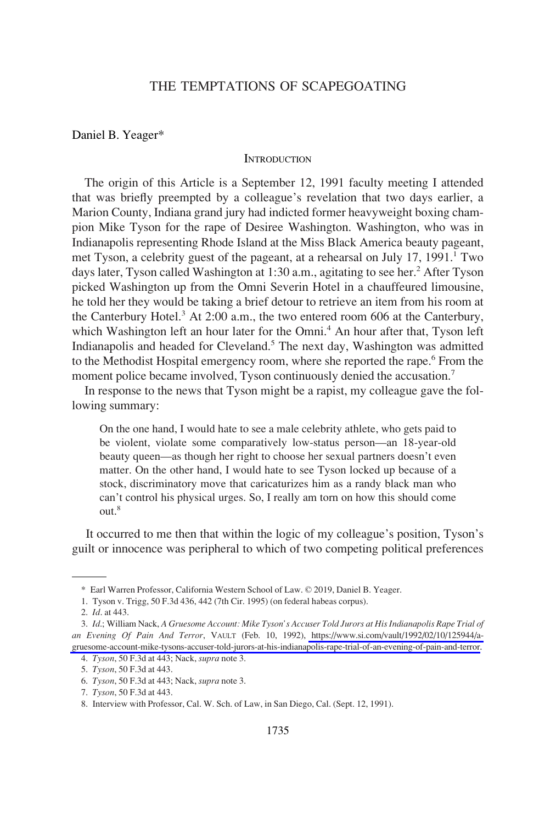# THE TEMPTATIONS OF SCAPEGOATING

#### Daniel B. Yeager\*

## **INTRODUCTION**

The origin of this Article is a September 12, 1991 faculty meeting I attended that was briefly preempted by a colleague's revelation that two days earlier, a Marion County, Indiana grand jury had indicted former heavyweight boxing champion Mike Tyson for the rape of Desiree Washington. Washington, who was in Indianapolis representing Rhode Island at the Miss Black America beauty pageant, met Tyson, a celebrity guest of the pageant, at a rehearsal on July 17, 1991.<sup>1</sup> Two days later, Tyson called Washington at 1:30 a.m., agitating to see her.<sup>2</sup> After Tyson picked Washington up from the Omni Severin Hotel in a chauffeured limousine, he told her they would be taking a brief detour to retrieve an item from his room at the Canterbury Hotel.<sup>3</sup> At 2:00 a.m., the two entered room 606 at the Canterbury, which Washington left an hour later for the Omni.<sup>4</sup> An hour after that, Tyson left Indianapolis and headed for Cleveland.<sup>5</sup> The next day, Washington was admitted to the Methodist Hospital emergency room, where she reported the rape.<sup>6</sup> From the moment police became involved, Tyson continuously denied the accusation.<sup>7</sup>

In response to the news that Tyson might be a rapist, my colleague gave the following summary:

On the one hand, I would hate to see a male celebrity athlete, who gets paid to be violent, violate some comparatively low-status person—an 18-year-old beauty queen—as though her right to choose her sexual partners doesn't even matter. On the other hand, I would hate to see Tyson locked up because of a stock, discriminatory move that caricaturizes him as a randy black man who can't control his physical urges. So, I really am torn on how this should come out.<sup>8</sup>

It occurred to me then that within the logic of my colleague's position, Tyson's guilt or innocence was peripheral to which of two competing political preferences

<sup>\*</sup> Earl Warren Professor, California Western School of Law. © 2019, Daniel B. Yeager.

<sup>1.</sup> Tyson v. Trigg, 50 F.3d 436, 442 (7th Cir. 1995) (on federal habeas corpus).

<sup>2.</sup> *Id*. at 443.

*Id*.; William Nack, *A Gruesome Account: Mike Tyson's Accuser Told Jurors at His Indianapolis Rape Trial of*  3. *an Evening Of Pain And Terror*, VAULT (Feb. 10, 1992), [https://www.si.com/vault/1992/02/10/125944/a](https://www.si.com/vault/1992/02/10/125944/a-gruesome-account-mike-tysons-accuser-told-jurors-at-his-indianapolis-rape-trial-of-an-evening-of-pain-and-terror)[gruesome-account-mike-tysons-accuser-told-jurors-at-his-indianapolis-rape-trial-of-an-evening-of-pain-and-terror.](https://www.si.com/vault/1992/02/10/125944/a-gruesome-account-mike-tysons-accuser-told-jurors-at-his-indianapolis-rape-trial-of-an-evening-of-pain-and-terror)

<sup>4.</sup> *Tyson*, 50 F.3d at 443; Nack, *supra* note 3.

<sup>5.</sup> *Tyson*, 50 F.3d at 443.

<sup>6.</sup> *Tyson*, 50 F.3d at 443; Nack, *supra* note 3.

<sup>7.</sup> *Tyson*, 50 F.3d at 443.

<sup>8.</sup> Interview with Professor, Cal. W. Sch. of Law, in San Diego, Cal. (Sept. 12, 1991).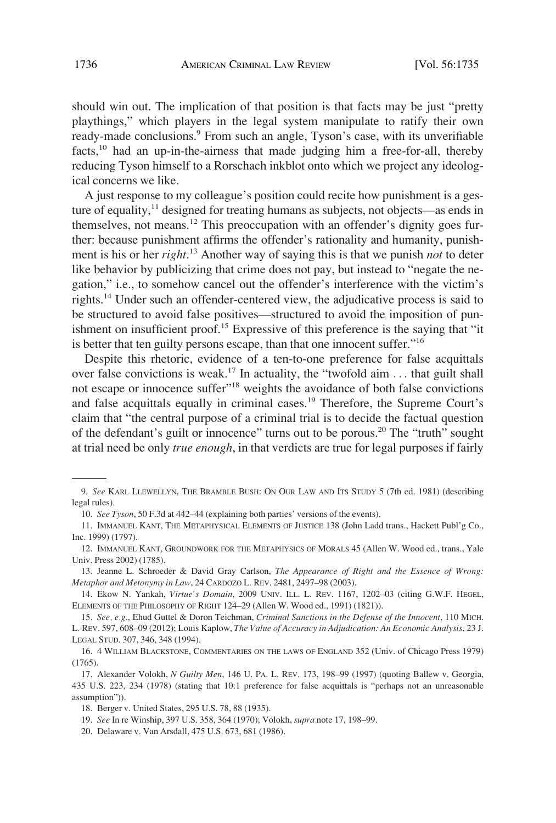should win out. The implication of that position is that facts may be just "pretty playthings," which players in the legal system manipulate to ratify their own ready-made conclusions.<sup>9</sup> From such an angle, Tyson's case, with its unverifiable facts,<sup>10</sup> had an up-in-the-airness that made judging him a free-for-all, thereby reducing Tyson himself to a Rorschach inkblot onto which we project any ideological concerns we like.

A just response to my colleague's position could recite how punishment is a gesture of equality, $<sup>11</sup>$  designed for treating humans as subjects, not objects—as ends in</sup> themselves, not means.12 This preoccupation with an offender's dignity goes further: because punishment affirms the offender's rationality and humanity, punishment is his or her *right*. 13 Another way of saying this is that we punish *not* to deter like behavior by publicizing that crime does not pay, but instead to "negate the negation," i.e., to somehow cancel out the offender's interference with the victim's rights.14 Under such an offender-centered view, the adjudicative process is said to be structured to avoid false positives—structured to avoid the imposition of punishment on insufficient proof.<sup>15</sup> Expressive of this preference is the saying that "it is better that ten guilty persons escape, than that one innocent suffer."<sup>16</sup>

Despite this rhetoric, evidence of a ten-to-one preference for false acquittals over false convictions is weak.<sup>17</sup> In actuality, the "twofold aim . . . that guilt shall not escape or innocence suffer"18 weights the avoidance of both false convictions and false acquittals equally in criminal cases.<sup>19</sup> Therefore, the Supreme Court's claim that "the central purpose of a criminal trial is to decide the factual question of the defendant's guilt or innocence" turns out to be porous.<sup>20</sup> The "truth" sought at trial need be only *true enough*, in that verdicts are true for legal purposes if fairly

20. Delaware v. Van Arsdall, 475 U.S. 673, 681 (1986).

<sup>9.</sup> *See* KARL LLEWELLYN, THE BRAMBLE BUSH: ON OUR LAW AND ITS STUDY 5 (7th ed. 1981) (describing legal rules).

<sup>10.</sup> *See Tyson*, 50 F.3d at 442–44 (explaining both parties' versions of the events).

<sup>11.</sup> IMMANUEL KANT, THE METAPHYSICAL ELEMENTS OF JUSTICE 138 (John Ladd trans., Hackett Publ'g Co., Inc. 1999) (1797).

<sup>12.</sup> IMMANUEL KANT, GROUNDWORK FOR THE METAPHYSICS OF MORALS 45 (Allen W. Wood ed., trans., Yale Univ. Press 2002) (1785).

<sup>13.</sup> Jeanne L. Schroeder & David Gray Carlson, *The Appearance of Right and the Essence of Wrong: Metaphor and Metonymy in Law*, 24 CARDOZO L. REV. 2481, 2497–98 (2003).

<sup>14.</sup> Ekow N. Yankah, *Virtue's Domain*, 2009 UNIV. ILL. L. REV. 1167, 1202–03 (citing G.W.F. HEGEL, ELEMENTS OF THE PHILOSOPHY OF RIGHT 124–29 (Allen W. Wood ed., 1991) (1821)).

<sup>15.</sup> *See, e.g*., Ehud Guttel & Doron Teichman, *Criminal Sanctions in the Defense of the Innocent*, 110 MICH. L. REV. 597, 608–09 (2012); Louis Kaplow, *The Value of Accuracy in Adjudication: An Economic Analysis*, 23 J. LEGAL STUD. 307, 346, 348 (1994).

<sup>16. 4</sup> WILLIAM BLACKSTONE, COMMENTARIES ON THE LAWS OF ENGLAND 352 (Univ. of Chicago Press 1979) (1765).

<sup>17.</sup> Alexander Volokh, *N Guilty Men*, 146 U. PA. L. REV. 173, 198–99 (1997) (quoting Ballew v. Georgia, 435 U.S. 223, 234 (1978) (stating that 10:1 preference for false acquittals is "perhaps not an unreasonable assumption")).

<sup>18.</sup> Berger v. United States, 295 U.S. 78, 88 (1935).

<sup>19.</sup> *See* In re Winship, 397 U.S. 358, 364 (1970); Volokh, *supra* note 17, 198–99.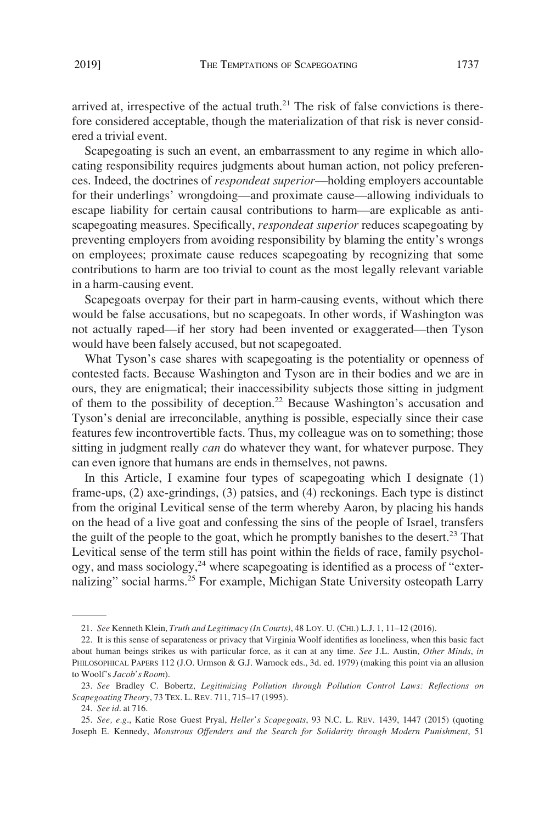arrived at, irrespective of the actual truth. $21$  The risk of false convictions is therefore considered acceptable, though the materialization of that risk is never considered a trivial event.

Scapegoating is such an event, an embarrassment to any regime in which allocating responsibility requires judgments about human action, not policy preferences. Indeed, the doctrines of *respondeat superior*—holding employers accountable for their underlings' wrongdoing—and proximate cause—allowing individuals to escape liability for certain causal contributions to harm—are explicable as antiscapegoating measures. Specifically, *respondeat superior* reduces scapegoating by preventing employers from avoiding responsibility by blaming the entity's wrongs on employees; proximate cause reduces scapegoating by recognizing that some contributions to harm are too trivial to count as the most legally relevant variable in a harm-causing event.

Scapegoats overpay for their part in harm-causing events, without which there would be false accusations, but no scapegoats. In other words, if Washington was not actually raped—if her story had been invented or exaggerated—then Tyson would have been falsely accused, but not scapegoated.

What Tyson's case shares with scapegoating is the potentiality or openness of contested facts. Because Washington and Tyson are in their bodies and we are in ours, they are enigmatical; their inaccessibility subjects those sitting in judgment of them to the possibility of deception.<sup>22</sup> Because Washington's accusation and Tyson's denial are irreconcilable, anything is possible, especially since their case features few incontrovertible facts. Thus, my colleague was on to something; those sitting in judgment really *can* do whatever they want, for whatever purpose. They can even ignore that humans are ends in themselves, not pawns.

In this Article, I examine four types of scapegoating which I designate (1) frame-ups, (2) axe-grindings, (3) patsies, and (4) reckonings. Each type is distinct from the original Levitical sense of the term whereby Aaron, by placing his hands on the head of a live goat and confessing the sins of the people of Israel, transfers the guilt of the people to the goat, which he promptly banishes to the desert.<sup>23</sup> That Levitical sense of the term still has point within the fields of race, family psychology, and mass sociology,<sup>24</sup> where scapegoating is identified as a process of "externalizing" social harms.<sup>25</sup> For example, Michigan State University osteopath Larry

<sup>21.</sup> *See* Kenneth Klein, *Truth and Legitimacy (In Courts)*, 48 LOY. U. (CHI.) L.J. 1, 11–12 (2016).

<sup>22.</sup> It is this sense of separateness or privacy that Virginia Woolf identifies as loneliness, when this basic fact about human beings strikes us with particular force, as it can at any time. *See* J.L. Austin, *Other Minds*, *in*  PHILOSOPHICAL PAPERS 112 (J.O. Urmson & G.J. Warnock eds., 3d. ed. 1979) (making this point via an allusion to Woolf's *Jacob's Room*).

<sup>23.</sup> *See* Bradley C. Bobertz*, Legitimizing Pollution through Pollution Control Laws: Reflections on Scapegoating Theory*, 73 TEX. L. REV. 711, 715–17 (1995).

<sup>24.</sup> *See id*. at 716.

<sup>25.</sup> *See, e.g*., Katie Rose Guest Pryal, *Heller's Scapegoats*, 93 N.C. L. REV. 1439, 1447 (2015) (quoting Joseph E. Kennedy, *Monstrous Offenders and the Search for Solidarity through Modern Punishment*, 51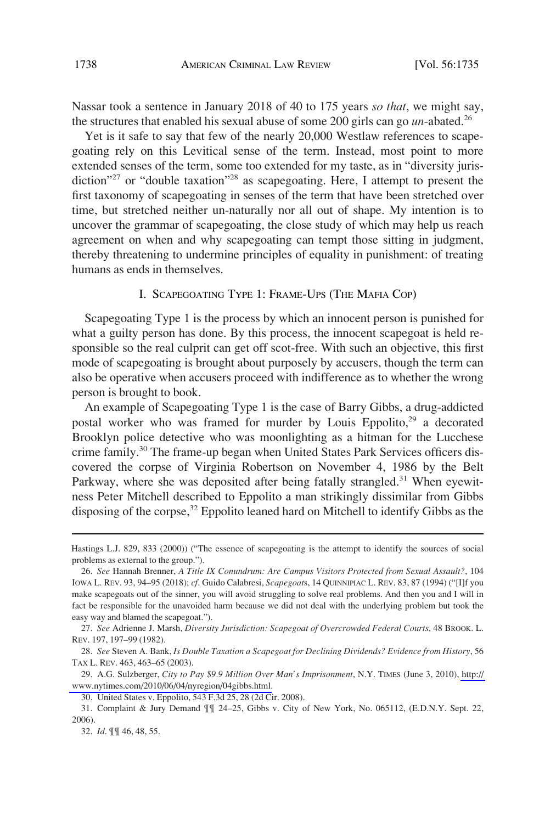Nassar took a sentence in January 2018 of 40 to 175 years *so that*, we might say, the structures that enabled his sexual abuse of some 200 girls can go *un*-abated.26

Yet is it safe to say that few of the nearly 20,000 Westlaw references to scapegoating rely on this Levitical sense of the term. Instead, most point to more extended senses of the term, some too extended for my taste, as in "diversity jurisdiction<sup>"27</sup> or "double taxation"<sup>28</sup> as scapegoating. Here, I attempt to present the first taxonomy of scapegoating in senses of the term that have been stretched over time, but stretched neither un-naturally nor all out of shape. My intention is to uncover the grammar of scapegoating, the close study of which may help us reach agreement on when and why scapegoating can tempt those sitting in judgment, thereby threatening to undermine principles of equality in punishment: of treating humans as ends in themselves.

## I. SCAPEGOATING TYPE 1: FRAME-UPS (THE MAFIA COP)

Scapegoating Type 1 is the process by which an innocent person is punished for what a guilty person has done. By this process, the innocent scapegoat is held responsible so the real culprit can get off scot-free. With such an objective, this first mode of scapegoating is brought about purposely by accusers, though the term can also be operative when accusers proceed with indifference as to whether the wrong person is brought to book.

An example of Scapegoating Type 1 is the case of Barry Gibbs, a drug-addicted postal worker who was framed for murder by Louis Eppolito,<sup>29</sup> a decorated Brooklyn police detective who was moonlighting as a hitman for the Lucchese crime family.30 The frame-up began when United States Park Services officers discovered the corpse of Virginia Robertson on November 4, 1986 by the Belt Parkway, where she was deposited after being fatally strangled.<sup>31</sup> When eyewitness Peter Mitchell described to Eppolito a man strikingly dissimilar from Gibbs disposing of the corpse,<sup>32</sup> Eppolito leaned hard on Mitchell to identify Gibbs as the

Hastings L.J. 829, 833 (2000)) ("The essence of scapegoating is the attempt to identify the sources of social problems as external to the group.").

<sup>26.</sup> *See* Hannah Brenner, *A Title IX Conundrum: Are Campus Visitors Protected from Sexual Assault?*, 104 IOWA L. REV. 93, 94–95 (2018); *cf*. Guido Calabresi, *Scapegoat*s, 14 QUINNIPIAC L. REV. 83, 87 (1994) ("[I]f you make scapegoats out of the sinner, you will avoid struggling to solve real problems. And then you and I will in fact be responsible for the unavoided harm because we did not deal with the underlying problem but took the easy way and blamed the scapegoat.").

<sup>27.</sup> *See* Adrienne J. Marsh, *Diversity Jurisdiction: Scapegoat of Overcrowded Federal Courts*, 48 BROOK. L. REV. 197, 197–99 (1982).

<sup>28.</sup> *See* Steven A. Bank, *Is Double Taxation a Scapegoat for Declining Dividends? Evidence from History*, 56 TAX L. REV. 463, 463–65 (2003).

A.G. Sulzberger, *City to Pay \$9.9 Million Over Man's Imprisonment*, N.Y. TIMES (June 3, 2010), [http://](http://www.nytimes.com/2010/06/04/nyregion/04gibbs.html)  29. [www.nytimes.com/2010/06/04/nyregion/04gibbs.html.](http://www.nytimes.com/2010/06/04/nyregion/04gibbs.html)

<sup>30.</sup> United States v. Eppolito, 543 F.3d 25, 28 (2d Cir. 2008).

<sup>31.</sup> Complaint & Jury Demand ¶¶ 24–25, Gibbs v. City of New York, No. 065112, (E.D.N.Y. Sept. 22, 2006).

<sup>32.</sup> *Id*. ¶¶ 46, 48, 55.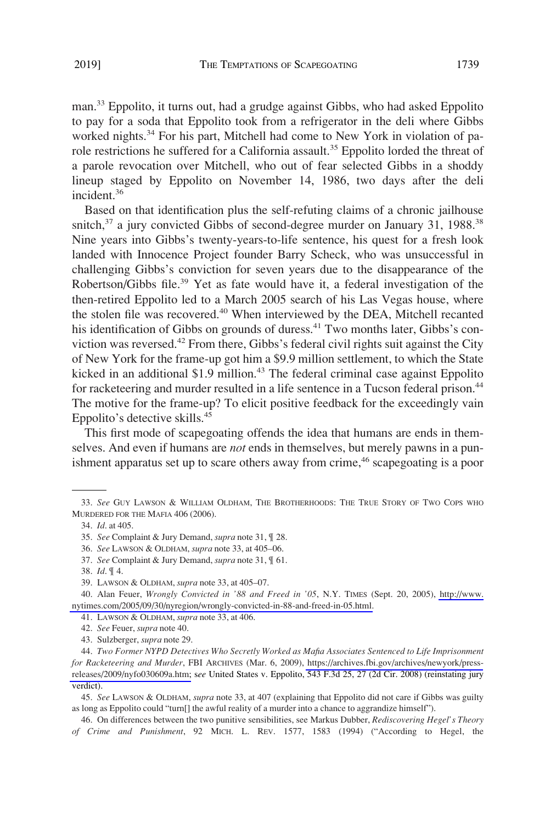man.<sup>33</sup> Eppolito, it turns out, had a grudge against Gibbs, who had asked Eppolito to pay for a soda that Eppolito took from a refrigerator in the deli where Gibbs worked nights.<sup>34</sup> For his part, Mitchell had come to New York in violation of parole restrictions he suffered for a California assault.<sup>35</sup> Eppolito lorded the threat of a parole revocation over Mitchell, who out of fear selected Gibbs in a shoddy lineup staged by Eppolito on November 14, 1986, two days after the deli incident.36

Based on that identification plus the self-refuting claims of a chronic jailhouse snitch, $3^7$  a jury convicted Gibbs of second-degree murder on January 31, 1988.<sup>38</sup> Nine years into Gibbs's twenty-years-to-life sentence, his quest for a fresh look landed with Innocence Project founder Barry Scheck, who was unsuccessful in challenging Gibbs's conviction for seven years due to the disappearance of the Robertson/Gibbs file.<sup>39</sup> Yet as fate would have it, a federal investigation of the then-retired Eppolito led to a March 2005 search of his Las Vegas house, where the stolen file was recovered.<sup>40</sup> When interviewed by the DEA, Mitchell recanted his identification of Gibbs on grounds of duress.<sup>41</sup> Two months later, Gibbs's conviction was reversed.<sup>42</sup> From there, Gibbs's federal civil rights suit against the City of New York for the frame-up got him a \$9.9 million settlement, to which the State kicked in an additional \$1.9 million.<sup>43</sup> The federal criminal case against Eppolito for racketeering and murder resulted in a life sentence in a Tucson federal prison.<sup>44</sup> The motive for the frame-up? To elicit positive feedback for the exceedingly vain Eppolito's detective skills.45

This first mode of scapegoating offends the idea that humans are ends in themselves. And even if humans are *not* ends in themselves, but merely pawns in a punishment apparatus set up to scare others away from crime,<sup>46</sup> scapegoating is a poor

<sup>33.</sup> *See* GUY LAWSON & WILLIAM OLDHAM, THE BROTHERHOODS: THE TRUE STORY OF TWO COPS WHO MURDERED FOR THE MAFIA 406 (2006).

<sup>34.</sup> *Id*. at 405.

<sup>35.</sup> *See* Complaint & Jury Demand, *supra* note 31, ¶ 28.

<sup>36.</sup> *See* LAWSON & OLDHAM, *supra* note 33, at 405–06.

<sup>37.</sup> *See* Complaint & Jury Demand, *supra* note 31, ¶ 61.

<sup>38.</sup> *Id*. ¶ 4.

<sup>39.</sup> LAWSON & OLDHAM, *supra* note 33, at 405–07.

Alan Feuer, *Wrongly Convicted in '88 and Freed in '05*, N.Y. TIMES (Sept. 20, 2005), [http://www.](http://www.nytimes.com/2005/09/30/nyregion/wrongly-convicted-in-88-and-freed-in-05.html) 40. [nytimes.com/2005/09/30/nyregion/wrongly-convicted-in-88-and-freed-in-05.html.](http://www.nytimes.com/2005/09/30/nyregion/wrongly-convicted-in-88-and-freed-in-05.html)

<sup>41.</sup> LAWSON & OLDHAM, *supra* note 33, at 406.

<sup>42.</sup> *See* Feuer, *supra* note 40.

<sup>43.</sup> Sulzberger, *supra* note 29.

*Two Former NYPD Detectives Who Secretly Worked as Mafia Associates Sentenced to Life Imprisonment*  44. *for Racketeering and Murder*, FBI ARCHIVES (Mar. 6, 2009), [https://archives.fbi.gov/archives/newyork/press](https://archives.fbi.gov/archives/newyork/press-releases/2009/nyfo030609a.htm)[releases/2009/nyfo030609a.htm;](https://archives.fbi.gov/archives/newyork/press-releases/2009/nyfo030609a.htm) s*ee* United States v. Eppolito, 543 F.3d 25, 27 (2d Cir. 2008) (reinstating jury verdict).

<sup>45.</sup> *See* LAWSON & OLDHAM, *supra* note 33, at 407 (explaining that Eppolito did not care if Gibbs was guilty as long as Eppolito could "turn[] the awful reality of a murder into a chance to aggrandize himself").

<sup>46.</sup> On differences between the two punitive sensibilities, see Markus Dubber, *Rediscovering Hegel's Theory of Crime and Punishment*, 92 MICH. L. REV. 1577, 1583 (1994) ("According to Hegel, the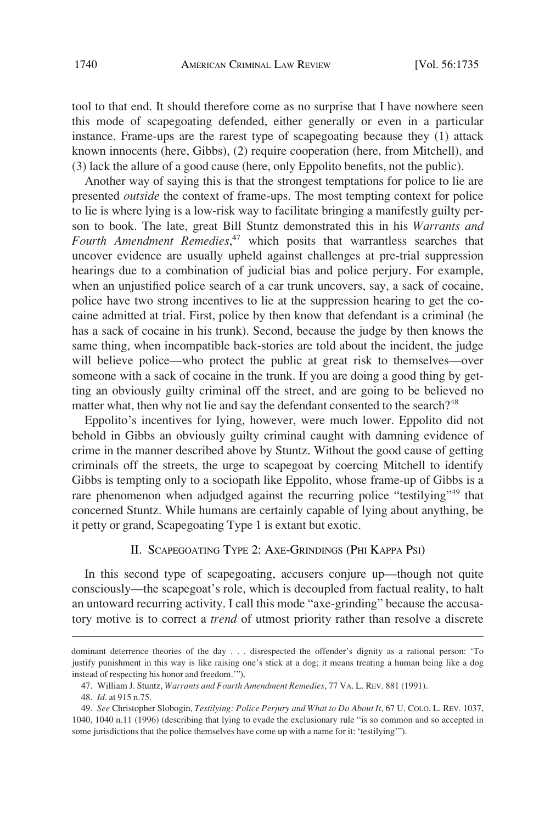tool to that end. It should therefore come as no surprise that I have nowhere seen this mode of scapegoating defended, either generally or even in a particular instance. Frame-ups are the rarest type of scapegoating because they (1) attack known innocents (here, Gibbs), (2) require cooperation (here, from Mitchell), and (3) lack the allure of a good cause (here, only Eppolito benefits, not the public).

Another way of saying this is that the strongest temptations for police to lie are presented *outside* the context of frame-ups. The most tempting context for police to lie is where lying is a low-risk way to facilitate bringing a manifestly guilty person to book. The late, great Bill Stuntz demonstrated this in his *Warrants and Fourth Amendment Remedies*, 47 which posits that warrantless searches that uncover evidence are usually upheld against challenges at pre-trial suppression hearings due to a combination of judicial bias and police perjury. For example, when an unjustified police search of a car trunk uncovers, say, a sack of cocaine, police have two strong incentives to lie at the suppression hearing to get the cocaine admitted at trial. First, police by then know that defendant is a criminal (he has a sack of cocaine in his trunk). Second, because the judge by then knows the same thing, when incompatible back-stories are told about the incident, the judge will believe police—who protect the public at great risk to themselves—over someone with a sack of cocaine in the trunk. If you are doing a good thing by getting an obviously guilty criminal off the street, and are going to be believed no matter what, then why not lie and say the defendant consented to the search?<sup>48</sup>

Eppolito's incentives for lying, however, were much lower. Eppolito did not behold in Gibbs an obviously guilty criminal caught with damning evidence of crime in the manner described above by Stuntz. Without the good cause of getting criminals off the streets, the urge to scapegoat by coercing Mitchell to identify Gibbs is tempting only to a sociopath like Eppolito, whose frame-up of Gibbs is a rare phenomenon when adjudged against the recurring police "testilying"<sup>49</sup> that concerned Stuntz. While humans are certainly capable of lying about anything, be it petty or grand, Scapegoating Type 1 is extant but exotic.

## II. SCAPEGOATING TYPE 2: AXE-GRINDINGS (PHI KAPPA PSI)

In this second type of scapegoating, accusers conjure up—though not quite consciously—the scapegoat's role, which is decoupled from factual reality, to halt an untoward recurring activity. I call this mode "axe-grinding" because the accusatory motive is to correct a *trend* of utmost priority rather than resolve a discrete

dominant deterrence theories of the day . . . disrespected the offender's dignity as a rational person: 'To justify punishment in this way is like raising one's stick at a dog; it means treating a human being like a dog instead of respecting his honor and freedom.'").

<sup>47.</sup> William J. Stuntz, *Warrants and Fourth Amendment Remedies*, 77 VA. L. REV. 881 (1991).

<sup>48.</sup> *Id*. at 915 n.75.

<sup>49.</sup> *See* Christopher Slobogin, *Testilying: Police Perjury and What to Do About It*, 67 U. COLO. L. REV. 1037, 1040, 1040 n.11 (1996) (describing that lying to evade the exclusionary rule "is so common and so accepted in some jurisdictions that the police themselves have come up with a name for it: 'testilying'").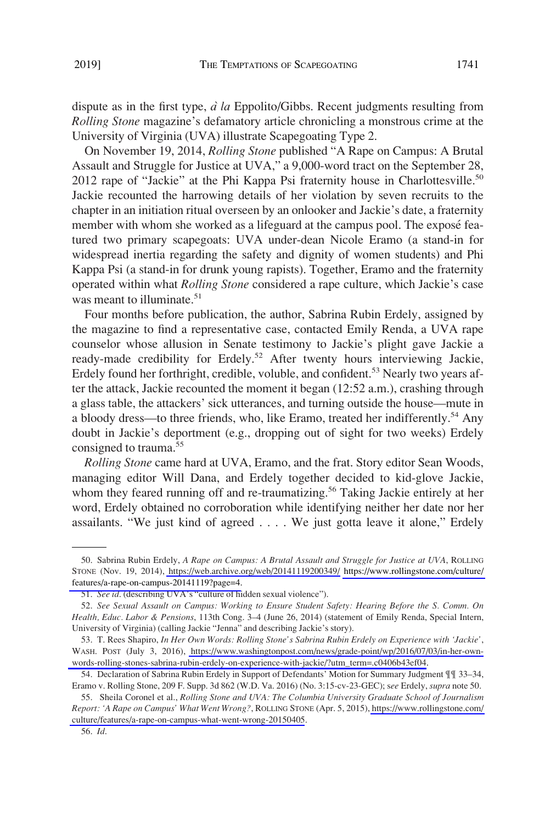University of Virginia (UVA) illustrate Scapegoating Type 2.

dispute as in the first type, *a` la* Eppolito/Gibbs. Recent judgments resulting from *Rolling Stone* magazine's defamatory article chronicling a monstrous crime at the

On November 19, 2014, *Rolling Stone* published "A Rape on Campus: A Brutal Assault and Struggle for Justice at UVA," a 9,000-word tract on the September 28, 2012 rape of "Jackie" at the Phi Kappa Psi fraternity house in Charlottesville.<sup>50</sup> Jackie recounted the harrowing details of her violation by seven recruits to the chapter in an initiation ritual overseen by an onlooker and Jackie's date, a fraternity member with whom she worked as a lifeguard at the campus pool. The exposé featured two primary scapegoats: UVA under-dean Nicole Eramo (a stand-in for widespread inertia regarding the safety and dignity of women students) and Phi Kappa Psi (a stand-in for drunk young rapists). Together, Eramo and the fraternity operated within what *Rolling Stone* considered a rape culture, which Jackie's case was meant to illuminate.<sup>51</sup>

Four months before publication, the author, Sabrina Rubin Erdely, assigned by the magazine to find a representative case, contacted Emily Renda, a UVA rape counselor whose allusion in Senate testimony to Jackie's plight gave Jackie a ready-made credibility for Erdely.<sup>52</sup> After twenty hours interviewing Jackie, Erdely found her forthright, credible, voluble, and confident.<sup>53</sup> Nearly two years after the attack, Jackie recounted the moment it began (12:52 a.m.), crashing through a glass table, the attackers' sick utterances, and turning outside the house—mute in a bloody dress—to three friends, who, like Eramo, treated her indifferently.<sup>54</sup> Any doubt in Jackie's deportment (e.g., dropping out of sight for two weeks) Erdely consigned to trauma.<sup>55</sup>

*Rolling Stone* came hard at UVA, Eramo, and the frat. Story editor Sean Woods, managing editor Will Dana, and Erdely together decided to kid-glove Jackie, whom they feared running off and re-traumatizing.<sup>56</sup> Taking Jackie entirely at her word, Erdely obtained no corroboration while identifying neither her date nor her assailants. "We just kind of agreed . . . . We just gotta leave it alone," Erdely

<sup>50.</sup> Sabrina Rubin Erdely, *A Rape on Campus: A Brutal Assault and Struggle for Justice at UVA*, ROLLING STONE (Nov. 19, 2014), <https://web.archive.org/web/20141119200349/>[https://www.rollingstone.com/culture/](https://www.rollingstone.com/culture/features/a-rape-on-campus-20141119?page=4)  [features/a-rape-on-campus-20141119?page=4.](https://www.rollingstone.com/culture/features/a-rape-on-campus-20141119?page=4)

<sup>51.</sup> *See id*. (describing UVA's "culture of hidden sexual violence").

<sup>52.</sup> *See Sexual Assault on Campus: Working to Ensure Student Safety: Hearing Before the S. Comm. On Health, Educ. Labor & Pensions*, 113th Cong. 3–4 (June 26, 2014) (statement of Emily Renda, Special Intern, University of Virginia) (calling Jackie "Jenna" and describing Jackie's story).

<sup>53.</sup> T. Rees Shapiro, In Her Own Words: Rolling Stone's Sabrina Rubin Erdely on Experience with 'Jackie', WASH. POST (July 3, 2016), [https://www.washingtonpost.com/news/grade-point/wp/2016/07/03/in-her-own](https://www.washingtonpost.com/news/grade-point/wp/2016/07/03/in-her-own-words-rolling-stones-sabrina-rubin-erdely-on-experience-with-jackie/?utm_term=.c0406b43ef04)[words-rolling-stones-sabrina-rubin-erdely-on-experience-with-jackie/?utm\\_term=.c0406b43ef04.](https://www.washingtonpost.com/news/grade-point/wp/2016/07/03/in-her-own-words-rolling-stones-sabrina-rubin-erdely-on-experience-with-jackie/?utm_term=.c0406b43ef04)

<sup>54.</sup> Declaration of Sabrina Rubin Erdely in Support of Defendants' Motion for Summary Judgment ¶¶ 33–34, Eramo v. Rolling Stone, 209 F. Supp. 3d 862 (W.D. Va. 2016) (No. 3:15-cv-23-GEC); s*ee* Erdely, *supra* note 50.

<sup>55.</sup> Sheila Coronel et al., *Rolling Stone and UVA: The Columbia University Graduate School of Journalism Report: 'A Rape on Campus' What Went Wrong?*, ROLLING STONE (Apr. 5, 2015), [https://www.rollingstone.com/](https://www.rollingstone.com/culture/features/a-rape-on-campus-what-went-wrong-20150405)  [culture/features/a-rape-on-campus-what-went-wrong-20150405](https://www.rollingstone.com/culture/features/a-rape-on-campus-what-went-wrong-20150405).

<sup>56.</sup> *Id*.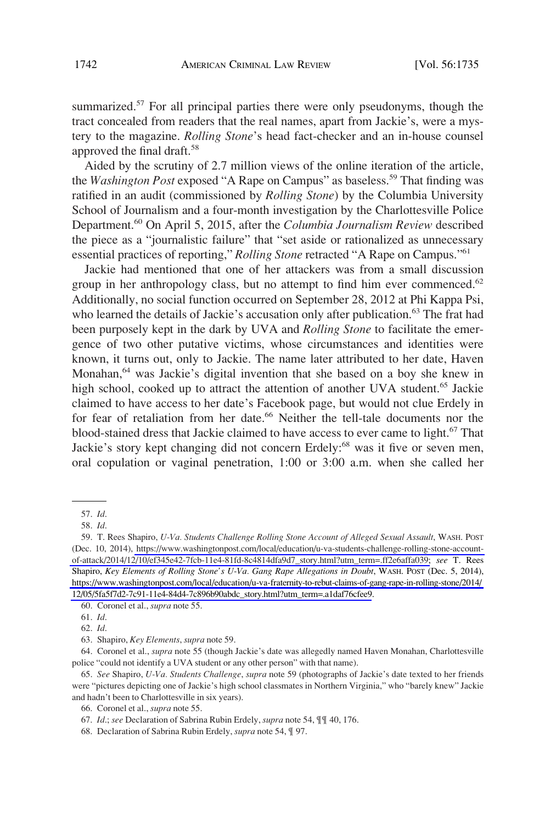summarized.<sup>57</sup> For all principal parties there were only pseudonyms, though the tract concealed from readers that the real names, apart from Jackie's, were a mystery to the magazine. *Rolling Stone*'s head fact-checker and an in-house counsel approved the final draft.58

Aided by the scrutiny of 2.7 million views of the online iteration of the article, the *Washington Post* exposed "A Rape on Campus" as baseless.<sup>59</sup> That finding was ratified in an audit (commissioned by *Rolling Stone*) by the Columbia University School of Journalism and a four-month investigation by the Charlottesville Police Department.60 On April 5, 2015, after the *Columbia Journalism Review* described the piece as a "journalistic failure" that "set aside or rationalized as unnecessary essential practices of reporting," *Rolling Stone* retracted "A Rape on Campus."61

Jackie had mentioned that one of her attackers was from a small discussion group in her anthropology class, but no attempt to find him ever commenced. $62$ Additionally, no social function occurred on September 28, 2012 at Phi Kappa Psi, who learned the details of Jackie's accusation only after publication.<sup>63</sup> The frat had been purposely kept in the dark by UVA and *Rolling Stone* to facilitate the emergence of two other putative victims, whose circumstances and identities were known, it turns out, only to Jackie. The name later attributed to her date, Haven Monahan,<sup>64</sup> was Jackie's digital invention that she based on a boy she knew in high school, cooked up to attract the attention of another UVA student.<sup>65</sup> Jackie claimed to have access to her date's Facebook page, but would not clue Erdely in for fear of retaliation from her date.<sup>66</sup> Neither the tell-tale documents nor the blood-stained dress that Jackie claimed to have access to ever came to light.<sup>67</sup> That Jackie's story kept changing did not concern Erdely:<sup>68</sup> was it five or seven men, oral copulation or vaginal penetration, 1:00 or 3:00 a.m. when she called her

60. Coronel et al., *supra* note 55.

64. Coronel et al., *supra* note 55 (though Jackie's date was allegedly named Haven Monahan, Charlottesville police "could not identify a UVA student or any other person" with that name).

65. *See* Shapiro, *U-Va. Students Challenge*, *supra* note 59 (photographs of Jackie's date texted to her friends were "pictures depicting one of Jackie's high school classmates in Northern Virginia," who "barely knew" Jackie and hadn't been to Charlottesville in six years).

68. Declaration of Sabrina Rubin Erdely, *supra* note 54, ¶ 97.

<sup>57.</sup> *Id*.

<sup>58.</sup> *Id*.

<sup>59.</sup> T. Rees Shapiro, *U-Va. Students Challenge Rolling Stone Account of Alleged Sexual Assault*, WASH. POST (Dec. 10, 2014), [https://www.washingtonpost.com/local/education/u-va-students-challenge-rolling-stone-account](https://www.washingtonpost.com/local/education/u-va-students-challenge-rolling-stone-account-of-attack/2014/12/10/ef345e42-7fcb-11e4-81fd-8c4814dfa9d7_story.html?utm_term=.ff2e6affa039)[of-attack/2014/12/10/ef345e42-7fcb-11e4-81fd-8c4814dfa9d7\\_story.html?utm\\_term=.ff2e6affa039;](https://www.washingtonpost.com/local/education/u-va-students-challenge-rolling-stone-account-of-attack/2014/12/10/ef345e42-7fcb-11e4-81fd-8c4814dfa9d7_story.html?utm_term=.ff2e6affa039) *see* T. Rees Shapiro, *Key Elements of Rolling Stone's U-Va. Gang Rape Allegations in Doubt*, WASH. POST (Dec. 5, 2014), [https://www.washingtonpost.com/local/education/u-va-fraternity-to-rebut-claims-of-gang-rape-in-rolling-stone/2014/](https://www.washingtonpost.com/local/education/u-va-fraternity-to-rebut-claims-of-gang-rape-in-rolling-stone/2014/12/05/5fa5f7d2-7c91-11e4-84d4-7c896b90abdc_story.html?utm_term=.a1daf76cfee9)  [12/05/5fa5f7d2-7c91-11e4-84d4-7c896b90abdc\\_story.html?utm\\_term=.a1daf76cfee9](https://www.washingtonpost.com/local/education/u-va-fraternity-to-rebut-claims-of-gang-rape-in-rolling-stone/2014/12/05/5fa5f7d2-7c91-11e4-84d4-7c896b90abdc_story.html?utm_term=.a1daf76cfee9).

<sup>61.</sup> *Id*.

<sup>62.</sup> *Id*.

<sup>63.</sup> Shapiro, *Key Elements*, *supra* note 59.

<sup>66.</sup> Coronel et al., *supra* note 55.

<sup>67.</sup> *Id*.; *see* Declaration of Sabrina Rubin Erdely, *supra* note 54, ¶¶ 40, 176.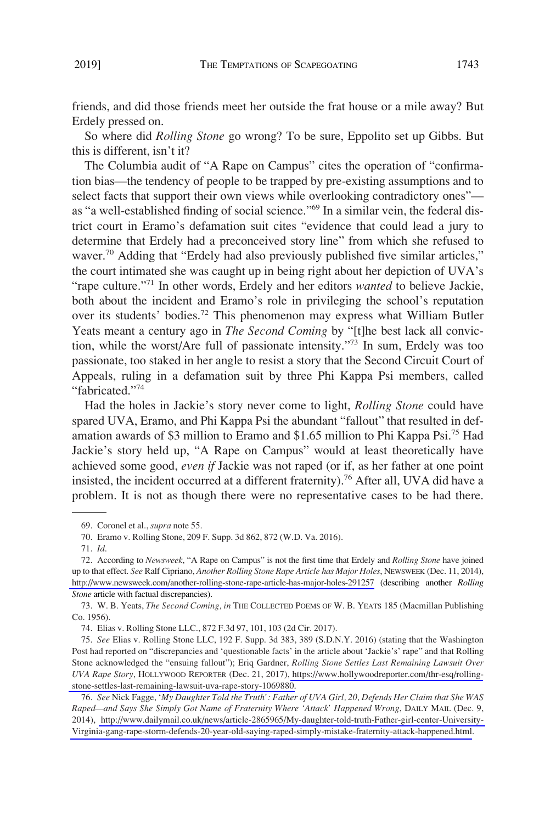friends, and did those friends meet her outside the frat house or a mile away? But Erdely pressed on.

So where did *Rolling Stone* go wrong? To be sure, Eppolito set up Gibbs. But this is different, isn't it?

The Columbia audit of "A Rape on Campus" cites the operation of "confirmation bias—the tendency of people to be trapped by pre-existing assumptions and to select facts that support their own views while overlooking contradictory ones" as "a well-established finding of social science."69 In a similar vein, the federal district court in Eramo's defamation suit cites "evidence that could lead a jury to determine that Erdely had a preconceived story line" from which she refused to waver.<sup>70</sup> Adding that "Erdely had also previously published five similar articles," the court intimated she was caught up in being right about her depiction of UVA's "rape culture."71 In other words, Erdely and her editors *wanted* to believe Jackie, both about the incident and Eramo's role in privileging the school's reputation over its students' bodies.<sup>72</sup> This phenomenon may express what William Butler Yeats meant a century ago in *The Second Coming* by "[t]he best lack all conviction, while the worst/Are full of passionate intensity."73 In sum, Erdely was too passionate, too staked in her angle to resist a story that the Second Circuit Court of Appeals, ruling in a defamation suit by three Phi Kappa Psi members, called "fabricated."<sup>74</sup>

Had the holes in Jackie's story never come to light, *Rolling Stone* could have spared UVA, Eramo, and Phi Kappa Psi the abundant "fallout" that resulted in defamation awards of \$3 million to Eramo and \$1.65 million to Phi Kappa Psi.<sup>75</sup> Had Jackie's story held up, "A Rape on Campus" would at least theoretically have achieved some good, *even if* Jackie was not raped (or if, as her father at one point insisted, the incident occurred at a different fraternity).<sup>76</sup> After all, UVA did have a problem. It is not as though there were no representative cases to be had there.

<sup>69.</sup> Coronel et al., *supra* note 55.

<sup>70.</sup> Eramo v. Rolling Stone, 209 F. Supp. 3d 862, 872 (W.D. Va. 2016).

<sup>71.</sup> *Id*.

<sup>72.</sup> According to *Newsweek*, "A Rape on Campus" is not the first time that Erdely and *Rolling Stone* have joined up to that effect. *See* Ralf Cipriano, *Another Rolling Stone Rape Article has Major Holes*, NEWSWEEK (Dec. 11, 2014), <http://www.newsweek.com/another-rolling-stone-rape-article-has-major-holes-291257> (describing another *Rolling Stone* article with factual discrepancies).

<sup>73.</sup> W. B. Yeats, *The Second Coming, in* THE COLLECTED POEMS OF W. B. YEATS 185 (Macmillan Publishing Co. 1956).

<sup>74.</sup> Elias v. Rolling Stone LLC., 872 F.3d 97, 101, 103 (2d Cir. 2017).

*See* Elias v. Rolling Stone LLC, 192 F. Supp. 3d 383, 389 (S.D.N.Y. 2016) (stating that the Washington 75. Post had reported on "discrepancies and 'questionable facts' in the article about 'Jackie's' rape" and that Rolling Stone acknowledged the "ensuing fallout"); Eriq Gardner, *Rolling Stone Settles Last Remaining Lawsuit Over UVA Rape Story*, HOLLYWOOD REPORTER (Dec. 21, 2017), [https://www.hollywoodreporter.com/thr-esq/rolling](https://www.hollywoodreporter.com/thr-esq/rolling-stone-settles-last-remaining-lawsuit-uva-rape-story-1069880)[stone-settles-last-remaining-lawsuit-uva-rape-story-1069880.](https://www.hollywoodreporter.com/thr-esq/rolling-stone-settles-last-remaining-lawsuit-uva-rape-story-1069880)

*See* Nick Fagge, '*My Daughter Told the Truth': Father of UVA Girl, 20, Defends Her Claim that She WAS*  76. *Raped—and Says She Simply Got Name of Fraternity Where 'Attack' Happened Wrong*, DAILY MAIL (Dec. 9, 2014), [http://www.dailymail.co.uk/news/article-2865965/My-daughter-told-truth-Father-girl-center-University-](http://www.dailymail.co.uk/news/article-2865965/My-daughter-told-truth-Father-girl-center-University-Virginia-gang-rape-storm-defends-20-year-old-saying-raped-simply-mistake-fraternity-attack-happened.html)[Virginia-gang-rape-storm-defends-20-year-old-saying-raped-simply-mistake-fraternity-attack-happened.html.](http://www.dailymail.co.uk/news/article-2865965/My-daughter-told-truth-Father-girl-center-University-Virginia-gang-rape-storm-defends-20-year-old-saying-raped-simply-mistake-fraternity-attack-happened.html)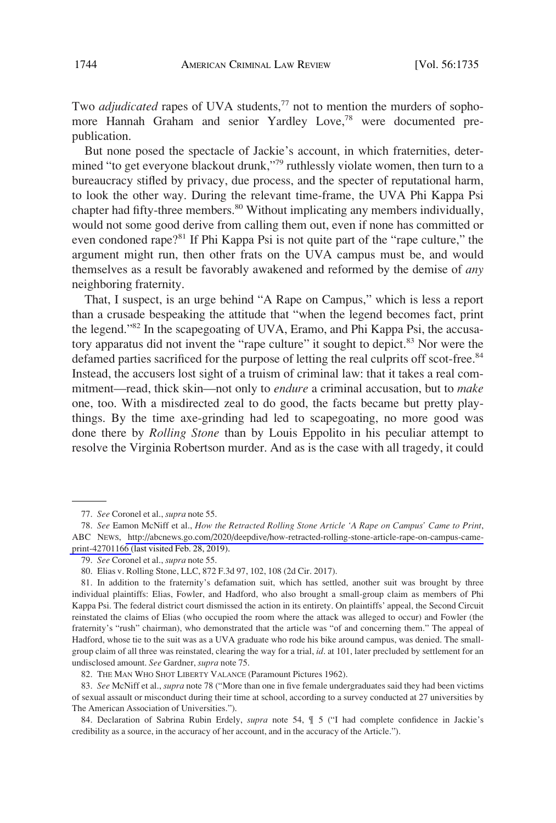Two *adjudicated* rapes of UVA students,<sup>77</sup> not to mention the murders of sophomore Hannah Graham and senior Yardley Love,<sup>78</sup> were documented prepublication.

But none posed the spectacle of Jackie's account, in which fraternities, determined "to get everyone blackout drunk,"79 ruthlessly violate women, then turn to a bureaucracy stifled by privacy, due process, and the specter of reputational harm, to look the other way. During the relevant time-frame, the UVA Phi Kappa Psi chapter had fifty-three members.<sup>80</sup> Without implicating any members individually, would not some good derive from calling them out, even if none has committed or even condoned rape?<sup>81</sup> If Phi Kappa Psi is not quite part of the "rape culture," the argument might run, then other frats on the UVA campus must be, and would themselves as a result be favorably awakened and reformed by the demise of *any*  neighboring fraternity.

That, I suspect, is an urge behind "A Rape on Campus," which is less a report than a crusade bespeaking the attitude that "when the legend becomes fact, print the legend."82 In the scapegoating of UVA, Eramo, and Phi Kappa Psi, the accusatory apparatus did not invent the "rape culture" it sought to depict.<sup>83</sup> Nor were the defamed parties sacrificed for the purpose of letting the real culprits off scot-free.<sup>84</sup> Instead, the accusers lost sight of a truism of criminal law: that it takes a real commitment—read, thick skin—not only to *endure* a criminal accusation, but to *make*  one, too. With a misdirected zeal to do good, the facts became but pretty playthings. By the time axe-grinding had led to scapegoating, no more good was done there by *Rolling Stone* than by Louis Eppolito in his peculiar attempt to resolve the Virginia Robertson murder. And as is the case with all tragedy, it could

<sup>77.</sup> *See* Coronel et al., *supra* note 55.

*See* Eamon McNiff et al., *How the Retracted Rolling Stone Article 'A Rape on Campus' Came to Print*, 78. ABC NEWS, [http://abcnews.go.com/2020/deepdive/how-retracted-rolling-stone-article-rape-on-campus-came](http://abcnews.go.com/2020/deepdive/how-retracted-rolling-stone-article-rape-on-campus-came-print-42701166)[print-42701166](http://abcnews.go.com/2020/deepdive/how-retracted-rolling-stone-article-rape-on-campus-came-print-42701166) (last visited Feb. 28, 2019).

<sup>79.</sup> *See* Coronel et al., *supra* note 55.

<sup>80.</sup> Elias v. Rolling Stone, LLC, 872 F.3d 97, 102, 108 (2d Cir. 2017).

<sup>81.</sup> In addition to the fraternity's defamation suit, which has settled, another suit was brought by three individual plaintiffs: Elias, Fowler, and Hadford, who also brought a small-group claim as members of Phi Kappa Psi. The federal district court dismissed the action in its entirety. On plaintiffs' appeal, the Second Circuit reinstated the claims of Elias (who occupied the room where the attack was alleged to occur) and Fowler (the fraternity's "rush" chairman), who demonstrated that the article was "of and concerning them." The appeal of Hadford, whose tie to the suit was as a UVA graduate who rode his bike around campus, was denied. The smallgroup claim of all three was reinstated, clearing the way for a trial, *id*. at 101, later precluded by settlement for an undisclosed amount. *See* Gardner, *supra* note 75.

<sup>82.</sup> THE MAN WHO SHOT LIBERTY VALANCE (Paramount Pictures 1962).

<sup>83.</sup> *See* McNiff et al., *supra* note 78 ("More than one in five female undergraduates said they had been victims of sexual assault or misconduct during their time at school, according to a survey conducted at 27 universities by The American Association of Universities.").

<sup>84.</sup> Declaration of Sabrina Rubin Erdely, *supra* note 54, ¶ 5 ("I had complete confidence in Jackie's credibility as a source, in the accuracy of her account, and in the accuracy of the Article.").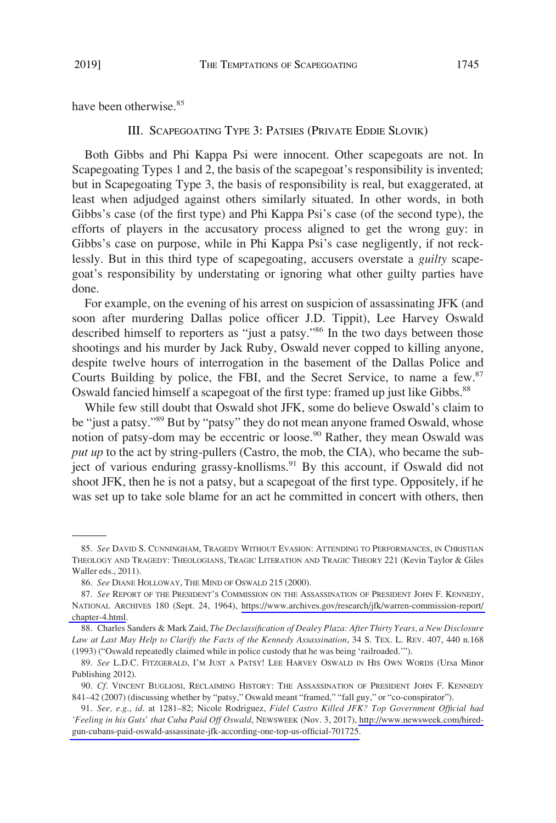have been otherwise.<sup>85</sup>

# III. SCAPEGOATING TYPE 3: PATSIES (PRIVATE EDDIE SLOVIK)

Both Gibbs and Phi Kappa Psi were innocent. Other scapegoats are not. In Scapegoating Types 1 and 2, the basis of the scapegoat's responsibility is invented; but in Scapegoating Type 3, the basis of responsibility is real, but exaggerated, at least when adjudged against others similarly situated. In other words, in both Gibbs's case (of the first type) and Phi Kappa Psi's case (of the second type), the efforts of players in the accusatory process aligned to get the wrong guy: in Gibbs's case on purpose, while in Phi Kappa Psi's case negligently, if not recklessly. But in this third type of scapegoating, accusers overstate a *guilty* scapegoat's responsibility by understating or ignoring what other guilty parties have done.

For example, on the evening of his arrest on suspicion of assassinating JFK (and soon after murdering Dallas police officer J.D. Tippit), Lee Harvey Oswald described himself to reporters as "just a patsy."<sup>86</sup> In the two days between those shootings and his murder by Jack Ruby, Oswald never copped to killing anyone, despite twelve hours of interrogation in the basement of the Dallas Police and Courts Building by police, the FBI, and the Secret Service, to name a few.<sup>87</sup> Oswald fancied himself a scapegoat of the first type: framed up just like Gibbs.<sup>88</sup>

While few still doubt that Oswald shot JFK, some do believe Oswald's claim to be "just a patsy."89 But by "patsy" they do not mean anyone framed Oswald, whose notion of patsy-dom may be eccentric or loose.<sup>90</sup> Rather, they mean Oswald was *put up* to the act by string-pullers (Castro, the mob, the CIA), who became the subject of various enduring grassy-knollisms.<sup>91</sup> By this account, if Oswald did not shoot JFK, then he is not a patsy, but a scapegoat of the first type. Oppositely, if he was set up to take sole blame for an act he committed in concert with others, then

<sup>85.</sup> *See* DAVID S. CUNNINGHAM, TRAGEDY WITHOUT EVASION: ATTENDING TO PERFORMANCES, IN CHRISTIAN THEOLOGY AND TRAGEDY: THEOLOGIANS, TRAGIC LITERATION AND TRAGIC THEORY 221 (Kevin Taylor & Giles Waller eds., 2011).

<sup>86.</sup> *See* DIANE HOLLOWAY, THE MIND OF OSWALD 215 (2000).

<sup>87.</sup> See REPORT OF THE PRESIDENT'S COMMISSION ON THE ASSASSINATION OF PRESIDENT JOHN F. KENNEDY, NATIONAL ARCHIVES 180 (Sept. 24, 1964), [https://www.archives.gov/research/jfk/warren-commission-report/](https://www.archives.gov/research/jfk/warren-commission-report/chapter-4.html)  [chapter-4.html.](https://www.archives.gov/research/jfk/warren-commission-report/chapter-4.html)

<sup>88.</sup> Charles Sanders & Mark Zaid, *The Declassification of Dealey Plaza: After Thirty Years, a New Disclosure Law at Last May Help to Clarify the Facts of the Kennedy Assassination*, 34 S. TEX. L. REV. 407, 440 n.168 (1993) ("Oswald repeatedly claimed while in police custody that he was being 'railroaded.'").

<sup>89.</sup> *See* L.D.C. FITZGERALD, I'M JUST A PATSY! LEE HARVEY OSWALD IN HIS OWN WORDS (Ursa Minor Publishing 2012).

<sup>90.</sup> *Cf*. VINCENT BUGLIOSI, RECLAIMING HISTORY: THE ASSASSINATION OF PRESIDENT JOHN F. KENNEDY 841–42 (2007) (discussing whether by "patsy," Oswald meant "framed," "fall guy," or "co-conspirator").

*See, e.g*., *id*. at 1281–82; Nicole Rodriguez, *Fidel Castro Killed JFK? Top Government Official had*  91. *'Feeling in his Guts' that Cuba Paid Off Oswald*, NEWSWEEK (Nov. 3, 2017), [http://www.newsweek.com/hired](http://www.newsweek.com/hired-gun-cubans-paid-oswald-assassinate-jfk-according-one-top-us-official-701725)[gun-cubans-paid-oswald-assassinate-jfk-according-one-top-us-official-701725.](http://www.newsweek.com/hired-gun-cubans-paid-oswald-assassinate-jfk-according-one-top-us-official-701725)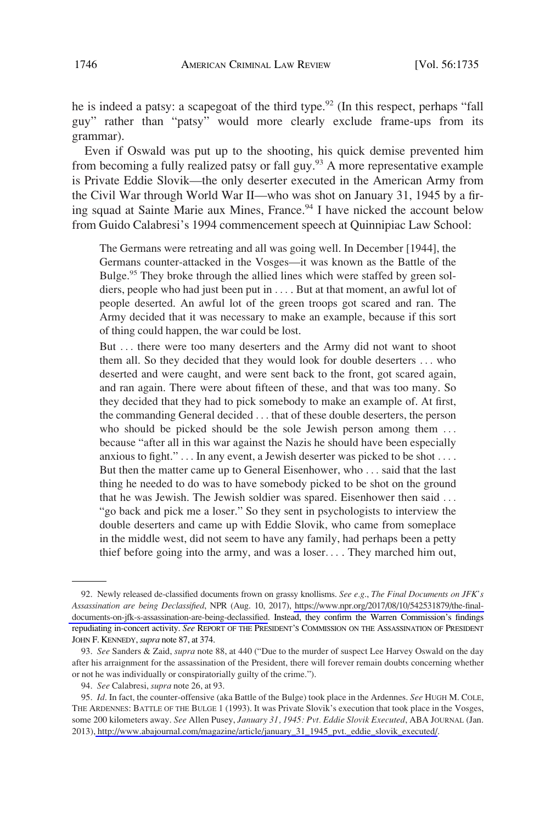he is indeed a patsy: a scapegoat of the third type.<sup>92</sup> (In this respect, perhaps "fall guy" rather than "patsy" would more clearly exclude frame-ups from its grammar).

Even if Oswald was put up to the shooting, his quick demise prevented him from becoming a fully realized patsy or fall guy.<sup>93</sup> A more representative example is Private Eddie Slovik—the only deserter executed in the American Army from the Civil War through World War II—who was shot on January 31, 1945 by a firing squad at Sainte Marie aux Mines, France.<sup>94</sup> I have nicked the account below from Guido Calabresi's 1994 commencement speech at Quinnipiac Law School:

The Germans were retreating and all was going well. In December [1944], the Germans counter-attacked in the Vosges—it was known as the Battle of the Bulge.<sup>95</sup> They broke through the allied lines which were staffed by green soldiers, people who had just been put in . . . . But at that moment, an awful lot of people deserted. An awful lot of the green troops got scared and ran. The Army decided that it was necessary to make an example, because if this sort of thing could happen, the war could be lost.

But ... there were too many deserters and the Army did not want to shoot them all. So they decided that they would look for double deserters . . . who deserted and were caught, and were sent back to the front, got scared again, and ran again. There were about fifteen of these, and that was too many. So they decided that they had to pick somebody to make an example of. At first, the commanding General decided . . . that of these double deserters, the person who should be picked should be the sole Jewish person among them ... because "after all in this war against the Nazis he should have been especially anxious to fight." . . . In any event, a Jewish deserter was picked to be shot . . . . But then the matter came up to General Eisenhower, who . . . said that the last thing he needed to do was to have somebody picked to be shot on the ground that he was Jewish. The Jewish soldier was spared. Eisenhower then said . . . "go back and pick me a loser." So they sent in psychologists to interview the double deserters and came up with Eddie Slovik, who came from someplace in the middle west, did not seem to have any family, had perhaps been a petty thief before going into the army, and was a loser. . . . They marched him out,

Newly released de-classified documents frown on grassy knollisms. *See e.g*., *The Final Documents on JFK's*  92. *Assassination are being Declassified*, NPR (Aug. 10, 2017), [https://www.npr.org/2017/08/10/542531879/the-final](https://www.npr.org/2017/08/10/542531879/the-final-documents-on-jfk-s-assassination-are-being-declassified)[documents-on-jfk-s-assassination-are-being-declassified](https://www.npr.org/2017/08/10/542531879/the-final-documents-on-jfk-s-assassination-are-being-declassified). Instead, they confirm the Warren Commission's findings repudiating in-concert activity. *See* REPORT OF THE PRESIDENT'S COMMISSION ON THE ASSASSINATION OF PRESIDENT JOHN F. KENNEDY, *supra* note 87, at 374.

<sup>93.</sup> *See* Sanders & Zaid, *supra* note 88, at 440 ("Due to the murder of suspect Lee Harvey Oswald on the day after his arraignment for the assassination of the President, there will forever remain doubts concerning whether or not he was individually or conspiratorially guilty of the crime.").

<sup>94.</sup> *See* Calabresi, *supra* note 26, at 93.

*Id*. In fact, the counter-offensive (aka Battle of the Bulge) took place in the Ardennes. *See* HUGH M. COLE, 95. THE ARDENNES: BATTLE OF THE BULGE 1 (1993). It was Private Slovik's execution that took place in the Vosges, some 200 kilometers away. *See* Allen Pusey, *January 31, 1945: Pvt. Eddie Slovik Executed*, ABA JOURNAL (Jan. 2013), [http://www.abajournal.com/magazine/article/january\\_31\\_1945\\_pvt.\\_eddie\\_slovik\\_executed/.](http://www.abajournal.com/magazine/article/january_31_1945_pvt._eddie_slovik_executed/)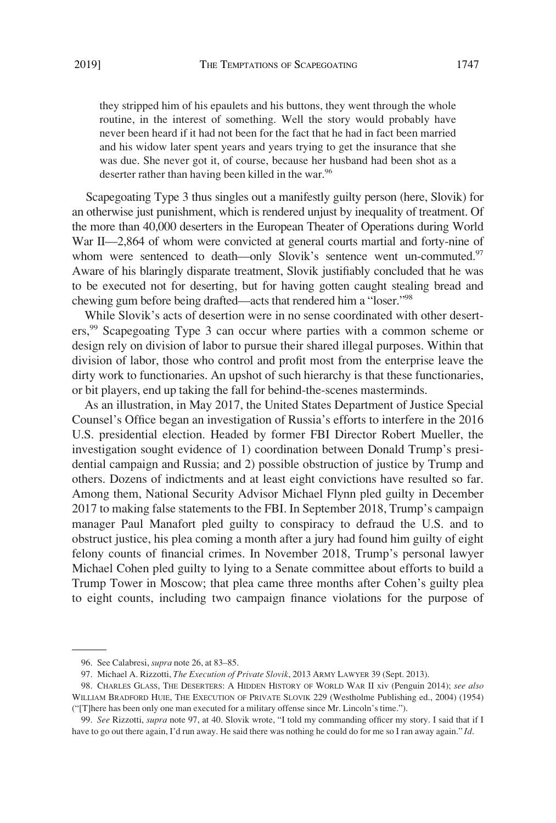they stripped him of his epaulets and his buttons, they went through the whole routine, in the interest of something. Well the story would probably have never been heard if it had not been for the fact that he had in fact been married and his widow later spent years and years trying to get the insurance that she was due. She never got it, of course, because her husband had been shot as a deserter rather than having been killed in the war.<sup>96</sup>

Scapegoating Type 3 thus singles out a manifestly guilty person (here, Slovik) for an otherwise just punishment, which is rendered unjust by inequality of treatment. Of the more than 40,000 deserters in the European Theater of Operations during World War II—2,864 of whom were convicted at general courts martial and forty-nine of whom were sentenced to death—only Slovik's sentence went un-commuted.<sup>97</sup> Aware of his blaringly disparate treatment, Slovik justifiably concluded that he was to be executed not for deserting, but for having gotten caught stealing bread and chewing gum before being drafted—acts that rendered him a "loser."98

While Slovik's acts of desertion were in no sense coordinated with other deserters,99 Scapegoating Type 3 can occur where parties with a common scheme or design rely on division of labor to pursue their shared illegal purposes. Within that division of labor, those who control and profit most from the enterprise leave the dirty work to functionaries. An upshot of such hierarchy is that these functionaries, or bit players, end up taking the fall for behind-the-scenes masterminds.

As an illustration, in May 2017, the United States Department of Justice Special Counsel's Office began an investigation of Russia's efforts to interfere in the 2016 U.S. presidential election. Headed by former FBI Director Robert Mueller, the investigation sought evidence of 1) coordination between Donald Trump's presidential campaign and Russia; and 2) possible obstruction of justice by Trump and others. Dozens of indictments and at least eight convictions have resulted so far. Among them, National Security Advisor Michael Flynn pled guilty in December 2017 to making false statements to the FBI. In September 2018, Trump's campaign manager Paul Manafort pled guilty to conspiracy to defraud the U.S. and to obstruct justice, his plea coming a month after a jury had found him guilty of eight felony counts of financial crimes. In November 2018, Trump's personal lawyer Michael Cohen pled guilty to lying to a Senate committee about efforts to build a Trump Tower in Moscow; that plea came three months after Cohen's guilty plea to eight counts, including two campaign finance violations for the purpose of

<sup>96.</sup> See Calabresi, *supra* note 26, at 83–85.

<sup>97.</sup> Michael A. Rizzotti, *The Execution of Private Slovik*, 2013 ARMY LAWYER 39 (Sept. 2013).

<sup>98.</sup> CHARLES GLASS, THE DESERTERS: A HIDDEN HISTORY OF WORLD WAR II xiv (Penguin 2014); *see also*  WILLIAM BRADFORD HUIE, THE EXECUTION OF PRIVATE SLOVIK 229 (Westholme Publishing ed., 2004) (1954) ("[T]here has been only one man executed for a military offense since Mr. Lincoln's time.").

<sup>99.</sup> *See* Rizzotti, *supra* note 97, at 40. Slovik wrote, "I told my commanding officer my story. I said that if I have to go out there again, I'd run away. He said there was nothing he could do for me so I ran away again." *Id*.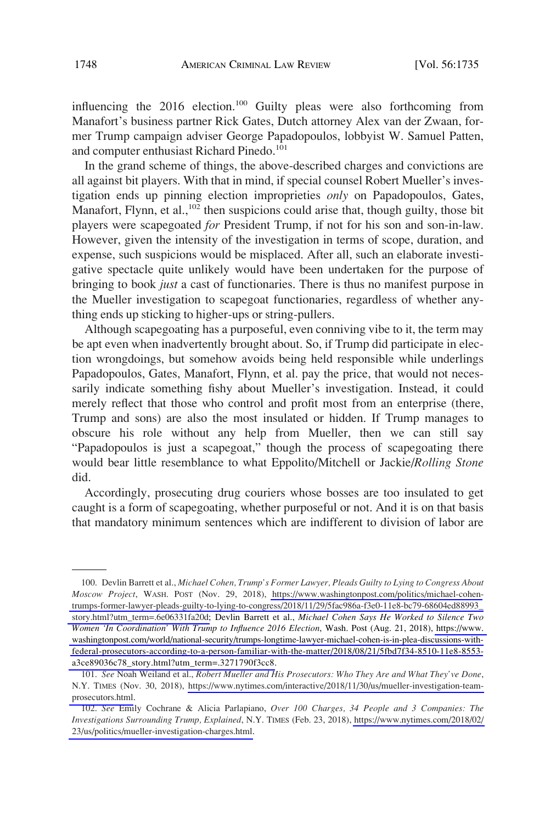influencing the 2016 election.<sup>100</sup> Guilty pleas were also forthcoming from Manafort's business partner Rick Gates, Dutch attorney Alex van der Zwaan, former Trump campaign adviser George Papadopoulos, lobbyist W. Samuel Patten, and computer enthusiast Richard Pinedo.<sup>101</sup>

In the grand scheme of things, the above-described charges and convictions are all against bit players. With that in mind, if special counsel Robert Mueller's investigation ends up pinning election improprieties *only* on Papadopoulos, Gates, Manafort, Flynn, et al.,<sup>102</sup> then suspicions could arise that, though guilty, those bit players were scapegoated *for* President Trump, if not for his son and son-in-law. However, given the intensity of the investigation in terms of scope, duration, and expense, such suspicions would be misplaced. After all, such an elaborate investigative spectacle quite unlikely would have been undertaken for the purpose of bringing to book *just* a cast of functionaries. There is thus no manifest purpose in the Mueller investigation to scapegoat functionaries, regardless of whether anything ends up sticking to higher-ups or string-pullers.

Although scapegoating has a purposeful, even conniving vibe to it, the term may be apt even when inadvertently brought about. So, if Trump did participate in election wrongdoings, but somehow avoids being held responsible while underlings Papadopoulos, Gates, Manafort, Flynn, et al. pay the price, that would not necessarily indicate something fishy about Mueller's investigation. Instead, it could merely reflect that those who control and profit most from an enterprise (there, Trump and sons) are also the most insulated or hidden. If Trump manages to obscure his role without any help from Mueller, then we can still say "Papadopoulos is just a scapegoat," though the process of scapegoating there would bear little resemblance to what Eppolito/Mitchell or Jackie/*Rolling Stone*  did.

Accordingly, prosecuting drug couriers whose bosses are too insulated to get caught is a form of scapegoating, whether purposeful or not. And it is on that basis that mandatory minimum sentences which are indifferent to division of labor are

<sup>100.</sup> Devlin Barrett et al., *Michael Cohen, Trump's Former Lawyer, Pleads Guilty to Lying to Congress About Moscow Project*, WASH. POST (Nov. 29, 2018), [https://www.washingtonpost.com/politics/michael-cohen](https://www.washingtonpost.com/politics/michael-cohen-trumps-former-lawyer-pleads-guilty-to-lying-to-congress/2018/11/29/5fac986a-f3e0-11e8-bc79-68604ed88993_story.html?utm_term=.6e06331fa20d)[trumps-former-lawyer-pleads-guilty-to-lying-to-congress/2018/11/29/5fac986a-f3e0-11e8-bc79-68604ed88993\\_](https://www.washingtonpost.com/politics/michael-cohen-trumps-former-lawyer-pleads-guilty-to-lying-to-congress/2018/11/29/5fac986a-f3e0-11e8-bc79-68604ed88993_story.html?utm_term=.6e06331fa20d)  [story.html?utm\\_term=.6e06331fa20d;](https://www.washingtonpost.com/politics/michael-cohen-trumps-former-lawyer-pleads-guilty-to-lying-to-congress/2018/11/29/5fac986a-f3e0-11e8-bc79-68604ed88993_story.html?utm_term=.6e06331fa20d) Devlin Barrett et al., *Michael Cohen Says He Worked to Silence Two Women 'In Coordination' With Trump to Influence 2016 Election*, Wash. Post (Aug. 21, 2018), [https://www.](https://www.washingtonpost.com/world/national-security/trumps-longtime-lawyer-michael-cohen-is-in-plea-discussions-with-federal-prosecutors-according-to-a-person-familiar-with-the-matter/2018/08/21/5fbd7f34-8510-11e8-8553-a3ce89036c78_story.html?utm_term=.3271790f3cc8)  [washingtonpost.com/world/national-security/trumps-longtime-lawyer-michael-cohen-is-in-plea-discussions-with](https://www.washingtonpost.com/world/national-security/trumps-longtime-lawyer-michael-cohen-is-in-plea-discussions-with-federal-prosecutors-according-to-a-person-familiar-with-the-matter/2018/08/21/5fbd7f34-8510-11e8-8553-a3ce89036c78_story.html?utm_term=.327)[federal-prosecutors-according-to-a-person-familiar-with-the-matter/2018/08/21/5fbd7f34-8510-11e8-8553](https://www.washingtonpost.com/world/national-security/trumps-longtime-lawyer-michael-cohen-is-in-plea-discussions-with-federal-prosecutors-according-to-a-person-familiar-with-the-matter/2018/08/21/5fbd7f34-8510-11e8-8553-a3ce89036c78_story.html?utm_term=.327) [a3ce89036c78\\_story.html?utm\\_term=.3271790f3cc8.](https://www.washingtonpost.com/world/national-security/trumps-longtime-lawyer-michael-cohen-is-in-plea-discussions-with-federal-prosecutors-according-to-a-person-familiar-with-the-matter/2018/08/21/5fbd7f34-8510-11e8-8553-a3ce89036c78_story.html?utm_term=.3271790f3cc8)

*See* Noah Weiland et al., *Robert Mueller and His Prosecutors: Who They Are and What They've Done*, 101. N.Y. TIMES (Nov. 30, 2018), [https://www.nytimes.com/interactive/2018/11/30/us/mueller-investigation-team](https://www.nytimes.com/interactive/2018/11/30/us/mueller-investigation-team-prosecutors.html)[prosecutors.html.](https://www.nytimes.com/interactive/2018/11/30/us/mueller-investigation-team-prosecutors.html)

*See* Emily Cochrane & Alicia Parlapiano, *Over 100 Charges, 34 People and 3 Companies: The*  102. *Investigations Surrounding Trump, Explained*, N.Y. TIMES (Feb. 23, 2018), [https://www.nytimes.com/2018/02/](https://www.nytimes.com/2018/02/23/us/politics/mueller-investigation-charges.html)  [23/us/politics/mueller-investigation-charges.html.](https://www.nytimes.com/2018/02/23/us/politics/mueller-investigation-charges.html)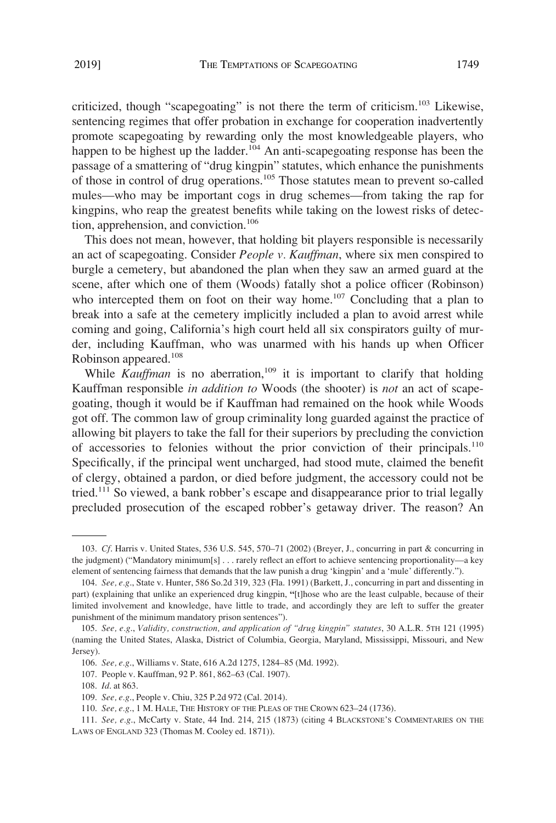criticized, though "scapegoating" is not there the term of criticism.<sup>103</sup> Likewise, sentencing regimes that offer probation in exchange for cooperation inadvertently promote scapegoating by rewarding only the most knowledgeable players, who happen to be highest up the ladder.<sup>104</sup> An anti-scapegoating response has been the passage of a smattering of "drug kingpin" statutes, which enhance the punishments of those in control of drug operations.105 Those statutes mean to prevent so-called mules—who may be important cogs in drug schemes—from taking the rap for kingpins, who reap the greatest benefits while taking on the lowest risks of detection, apprehension, and conviction.<sup>106</sup>

This does not mean, however, that holding bit players responsible is necessarily an act of scapegoating. Consider *People v. Kauffman*, where six men conspired to burgle a cemetery, but abandoned the plan when they saw an armed guard at the scene, after which one of them (Woods) fatally shot a police officer (Robinson) who intercepted them on foot on their way home.<sup>107</sup> Concluding that a plan to break into a safe at the cemetery implicitly included a plan to avoid arrest while coming and going, California's high court held all six conspirators guilty of murder, including Kauffman, who was unarmed with his hands up when Officer Robinson appeared.<sup>108</sup>

While *Kauffman* is no aberration,<sup>109</sup> it is important to clarify that holding Kauffman responsible *in addition to* Woods (the shooter) is *not* an act of scapegoating, though it would be if Kauffman had remained on the hook while Woods got off. The common law of group criminality long guarded against the practice of allowing bit players to take the fall for their superiors by precluding the conviction of accessories to felonies without the prior conviction of their principals.<sup>110</sup> Specifically, if the principal went uncharged, had stood mute, claimed the benefit of clergy, obtained a pardon, or died before judgment, the accessory could not be tried.<sup>111</sup> So viewed, a bank robber's escape and disappearance prior to trial legally precluded prosecution of the escaped robber's getaway driver. The reason? An

<sup>103.</sup> *Cf*. Harris v. United States, 536 U.S. 545, 570–71 (2002) (Breyer, J., concurring in part & concurring in the judgment) ("Mandatory minimum[s] . . . rarely reflect an effort to achieve sentencing proportionality—a key element of sentencing fairness that demands that the law punish a drug 'kingpin' and a 'mule' differently.").

<sup>104.</sup> *See, e.g*., State v. Hunter, 586 So.2d 319, 323 (Fla. 1991) (Barkett, J., concurring in part and dissenting in part) **(**explaining that unlike an experienced drug kingpin, **"**[t]hose who are the least culpable, because of their limited involvement and knowledge, have little to trade, and accordingly they are left to suffer the greater punishment of the minimum mandatory prison sentences").

<sup>105.</sup> *See, e.g*., *Validity, construction, and application of "drug kingpin" statutes*, 30 A.L.R. 5TH 121 (1995) (naming the United States, Alaska, District of Columbia, Georgia, Maryland, Mississippi, Missouri, and New Jersey).

<sup>106.</sup> *See, e.g*., Williams v. State, 616 A.2d 1275, 1284–85 (Md. 1992).

<sup>107.</sup> People v. Kauffman, 92 P. 861, 862–63 (Cal. 1907).

<sup>108.</sup> *Id*. at 863.

<sup>109.</sup> *See, e.g*., People v. Chiu, 325 P.2d 972 (Cal. 2014).

<sup>110.</sup> *See, e.g*., 1 M. HALE, THE HISTORY OF THE PLEAS OF THE CROWN 623–24 (1736).

<sup>111.</sup> *See, e.g*., McCarty v. State, 44 Ind. 214, 215 (1873) (citing 4 BLACKSTONE'S COMMENTARIES ON THE LAWS OF ENGLAND 323 (Thomas M. Cooley ed. 1871)).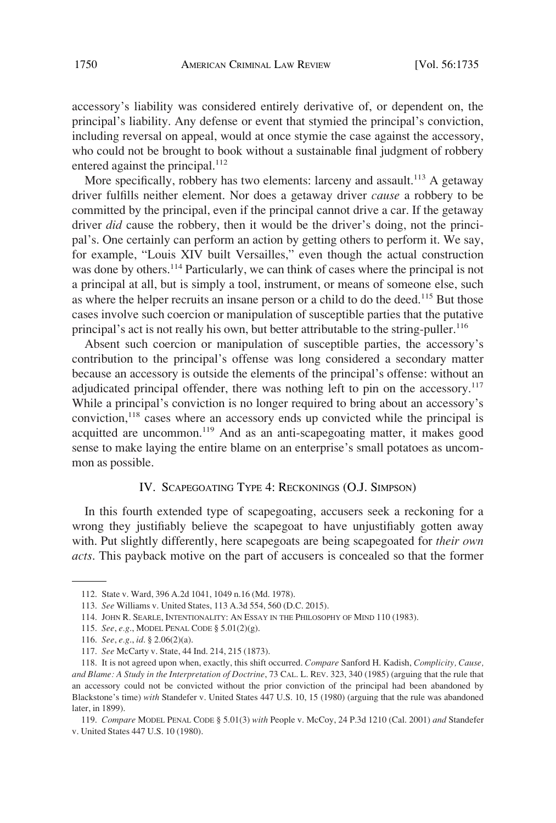accessory's liability was considered entirely derivative of, or dependent on, the principal's liability. Any defense or event that stymied the principal's conviction, including reversal on appeal, would at once stymie the case against the accessory, who could not be brought to book without a sustainable final judgment of robbery entered against the principal.<sup>112</sup>

More specifically, robbery has two elements: larceny and assault.<sup>113</sup> A getaway driver fulfills neither element. Nor does a getaway driver *cause* a robbery to be committed by the principal, even if the principal cannot drive a car. If the getaway driver *did* cause the robbery, then it would be the driver's doing, not the principal's. One certainly can perform an action by getting others to perform it. We say, for example, "Louis XIV built Versailles," even though the actual construction was done by others.<sup>114</sup> Particularly, we can think of cases where the principal is not a principal at all, but is simply a tool, instrument, or means of someone else, such as where the helper recruits an insane person or a child to do the deed.<sup>115</sup> But those cases involve such coercion or manipulation of susceptible parties that the putative principal's act is not really his own, but better attributable to the string-puller.<sup>116</sup>

Absent such coercion or manipulation of susceptible parties, the accessory's contribution to the principal's offense was long considered a secondary matter because an accessory is outside the elements of the principal's offense: without an adjudicated principal offender, there was nothing left to pin on the accessory.<sup>117</sup> While a principal's conviction is no longer required to bring about an accessory's conviction,<sup>118</sup> cases where an accessory ends up convicted while the principal is acquitted are uncommon.119 And as an anti-scapegoating matter, it makes good sense to make laying the entire blame on an enterprise's small potatoes as uncommon as possible.

# IV. SCAPEGOATING TYPE 4: RECKONINGS (O.J. SIMPSON)

In this fourth extended type of scapegoating, accusers seek a reckoning for a wrong they justifiably believe the scapegoat to have unjustifiably gotten away with. Put slightly differently, here scapegoats are being scapegoated for *their own acts*. This payback motive on the part of accusers is concealed so that the former

115. *See*, *e.g*., MODEL PENAL CODE § 5.01(2)(g).

<sup>112.</sup> State v. Ward, 396 A.2d 1041, 1049 n.16 (Md. 1978).

<sup>113.</sup> *See* Williams v. United States, 113 A.3d 554, 560 (D.C. 2015).

<sup>114.</sup> JOHN R. SEARLE, INTENTIONALITY: AN ESSAY IN THE PHILOSOPHY OF MIND 110 (1983).

<sup>116.</sup> *See*, *e.g*., *id*. § 2.06(2)(a).

<sup>117.</sup> *See* McCarty v. State, 44 Ind. 214, 215 (1873).

<sup>118.</sup> It is not agreed upon when, exactly, this shift occurred. *Compare* Sanford H. Kadish, *Complicity, Cause, and Blame: A Study in the Interpretation of Doctrine*, 73 CAL. L. REV. 323, 340 (1985) (arguing that the rule that an accessory could not be convicted without the prior conviction of the principal had been abandoned by Blackstone's time) *with* Standefer v. United States 447 U.S. 10, 15 (1980) (arguing that the rule was abandoned later, in 1899).

<sup>119.</sup> *Compare* MODEL PENAL CODE § 5.01(3) *with* People v. McCoy, 24 P.3d 1210 (Cal. 2001) *and* Standefer v. United States 447 U.S. 10 (1980).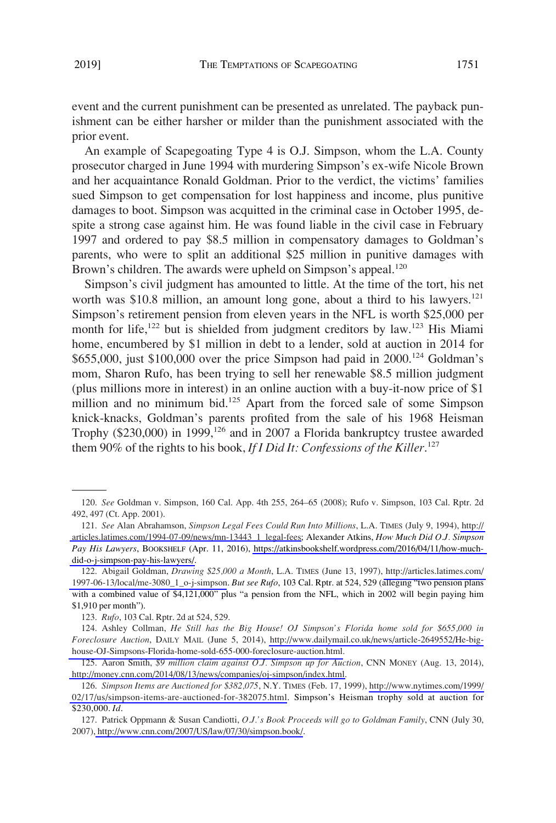event and the current punishment can be presented as unrelated. The payback punishment can be either harsher or milder than the punishment associated with the prior event.

An example of Scapegoating Type 4 is O.J. Simpson, whom the L.A. County prosecutor charged in June 1994 with murdering Simpson's ex-wife Nicole Brown and her acquaintance Ronald Goldman. Prior to the verdict, the victims' families sued Simpson to get compensation for lost happiness and income, plus punitive damages to boot. Simpson was acquitted in the criminal case in October 1995, despite a strong case against him. He was found liable in the civil case in February 1997 and ordered to pay \$8.5 million in compensatory damages to Goldman's parents, who were to split an additional \$25 million in punitive damages with Brown's children. The awards were upheld on Simpson's appeal.<sup>120</sup>

Simpson's civil judgment has amounted to little. At the time of the tort, his net worth was \$10.8 million, an amount long gone, about a third to his lawyers. $^{121}$ Simpson's retirement pension from eleven years in the NFL is worth \$25,000 per month for life,<sup>122</sup> but is shielded from judgment creditors by law.<sup>123</sup> His Miami home, encumbered by \$1 million in debt to a lender, sold at auction in 2014 for \$655,000, just \$100,000 over the price Simpson had paid in 2000.<sup>124</sup> Goldman's mom, Sharon Rufo, has been trying to sell her renewable \$8.5 million judgment (plus millions more in interest) in an online auction with a buy-it-now price of \$1 million and no minimum bid.<sup>125</sup> Apart from the forced sale of some Simpson knick-knacks, Goldman's parents profited from the sale of his 1968 Heisman Trophy (\$230,000) in 1999,<sup>126</sup> and in 2007 a Florida bankruptcy trustee awarded them 90% of the rights to his book, *If I Did It: Confessions of the Killer*. 127

<sup>120.</sup> *See* Goldman v. Simpson, 160 Cal. App. 4th 255, 264–65 (2008); Rufo v. Simpson, 103 Cal. Rptr. 2d 492, 497 (Ct. App. 2001).

*See* Alan Abrahamson, *Simpson Legal Fees Could Run Into Millions*, L.A. TIMES (July 9, 1994), [http://](http://articles.latimes.com/1994-07-09/news/mn-13443_1_legal-fees)  121. [articles.latimes.com/1994-07-09/news/mn-13443\\_1\\_legal-fees;](http://articles.latimes.com/1994-07-09/news/mn-13443_1_legal-fees) Alexander Atkins, *How Much Did O.J. Simpson Pay His Lawyers*, BOOKSHELF (Apr. 11, 2016), [https://atkinsbookshelf.wordpress.com/2016/04/11/how-much](https://atkinsbookshelf.wordpress.com/2016/04/11/how-much-did-o-j-simpson-pay-his-lawyers/)[did-o-j-simpson-pay-his-lawyers/.](https://atkinsbookshelf.wordpress.com/2016/04/11/how-much-did-o-j-simpson-pay-his-lawyers/)

<sup>122.</sup> Abigail Goldman, *Drawing \$25,000 a Month*, L.A. TIMES (June 13, 1997), http://articles.latimes.com/ [1997-06-13/local/me-3080\\_1\\_o-j-simpson](http://articles.latimes.com/1997-06-13/local/me-3080_1_o-j-simpson). *But see Rufo*, 103 Cal. Rptr. at 524, 529 (alleging "two pension plans with a combined value of \$4,121,000" plus "a pension from the NFL, which in 2002 will begin paying him \$1,910 per month").

<sup>123.</sup> *Rufo*, 103 Cal. Rptr. 2d at 524, 529.

Ashley Collman, *He Still has the Big House! OJ Simpson's Florida home sold for \$655,000 in*  124. *Foreclosure Auction*, DAILY MAIL (June 5, 2014), [http://www.dailymail.co.uk/news/article-2649552/He-big](http://www.dailymail.co.uk/news/article-2649552/He-big-house-OJ-Simpsons-Florida-home-sold-655-000-foreclosure-auction.html)[house-OJ-Simpsons-Florida-home-sold-655-000-foreclosure-auction.html.](http://www.dailymail.co.uk/news/article-2649552/He-big-house-OJ-Simpsons-Florida-home-sold-655-000-foreclosure-auction.html)

<sup>125.</sup> Aaron Smith, \$9 million claim against O.J. Simpson up for Auction, CNN MONEY (Aug. 13, 2014), [http://money.cnn.com/2014/08/13/news/companies/oj-simpson/index.html.](http://money.cnn.com/2014/08/13/news/companies/oj-simpson/index.html)

*Simpson Items are Auctioned for \$382,075*, N.Y. TIMES (Feb. 17, 1999), [http://www.nytimes.com/1999/](http://www.nytimes.com/1999/02/17/us/simpson-items-are-auctioned-for-382075.html) 126. [02/17/us/simpson-items-are-auctioned-for-382075.html](http://www.nytimes.com/1999/02/17/us/simpson-items-are-auctioned-for-382075.html). Simpson's Heisman trophy sold at auction for \$230,000. *Id*.

<sup>127.</sup> Patrick Oppmann & Susan Candiotti, *O.J.'s Book Proceeds will go to Goldman Family*, CNN (July 30, 2007)[, http://www.cnn.com/2007/US/law/07/30/simpson.book/.](http://www.cnn.com/2007/US/law/07/30/simpson.book/)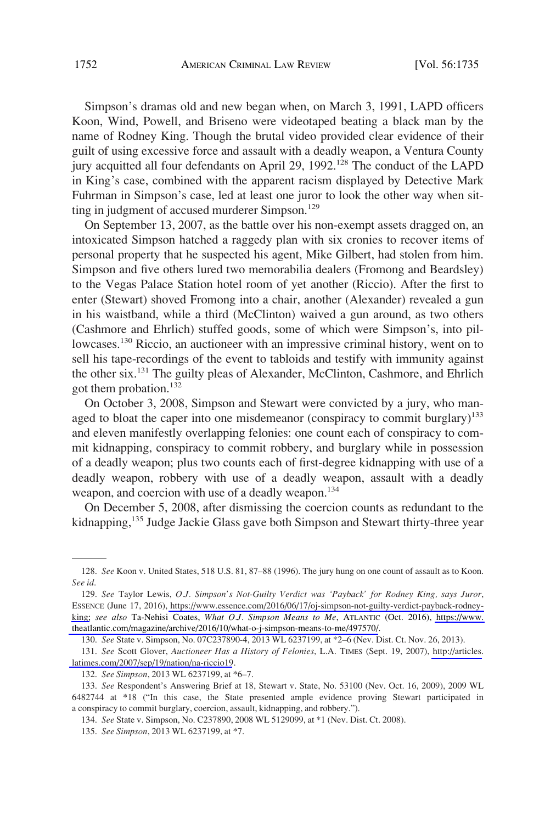Simpson's dramas old and new began when, on March 3, 1991, LAPD officers Koon, Wind, Powell, and Briseno were videotaped beating a black man by the name of Rodney King. Though the brutal video provided clear evidence of their guilt of using excessive force and assault with a deadly weapon, a Ventura County jury acquitted all four defendants on April 29, 1992.<sup>128</sup> The conduct of the LAPD in King's case, combined with the apparent racism displayed by Detective Mark Fuhrman in Simpson's case, led at least one juror to look the other way when sitting in judgment of accused murderer Simpson.<sup>129</sup>

On September 13, 2007, as the battle over his non-exempt assets dragged on, an intoxicated Simpson hatched a raggedy plan with six cronies to recover items of personal property that he suspected his agent, Mike Gilbert, had stolen from him. Simpson and five others lured two memorabilia dealers (Fromong and Beardsley) to the Vegas Palace Station hotel room of yet another (Riccio). After the first to enter (Stewart) shoved Fromong into a chair, another (Alexander) revealed a gun in his waistband, while a third (McClinton) waived a gun around, as two others (Cashmore and Ehrlich) stuffed goods, some of which were Simpson's, into pillowcases.<sup>130</sup> Riccio, an auctioneer with an impressive criminal history, went on to sell his tape-recordings of the event to tabloids and testify with immunity against the other six.<sup>131</sup> The guilty pleas of Alexander, McClinton, Cashmore, and Ehrlich got them probation.<sup>132</sup>

On October 3, 2008, Simpson and Stewart were convicted by a jury, who managed to bloat the caper into one misdemeanor (conspiracy to commit burglary)<sup>133</sup> and eleven manifestly overlapping felonies: one count each of conspiracy to commit kidnapping, conspiracy to commit robbery, and burglary while in possession of a deadly weapon; plus two counts each of first-degree kidnapping with use of a deadly weapon, robbery with use of a deadly weapon, assault with a deadly weapon, and coercion with use of a deadly weapon.<sup>134</sup>

On December 5, 2008, after dismissing the coercion counts as redundant to the kidnapping,<sup>135</sup> Judge Jackie Glass gave both Simpson and Stewart thirty-three year

<sup>128.</sup> *See* Koon v. United States, 518 U.S. 81, 87–88 (1996). The jury hung on one count of assault as to Koon. *See id*.

*See* Taylor Lewis, *O.J. Simpson's Not-Guilty Verdict was 'Payback' for Rodney King, says Juror*, 129. ESSENCE (June 17, 2016), [https://www.essence.com/2016/06/17/oj-simpson-not-guilty-verdict-payback-rodney](https://www.essence.com/2016/06/17/oj-simpson-not-guilty-verdict-payback-rodney-king)[king;](https://www.essence.com/2016/06/17/oj-simpson-not-guilty-verdict-payback-rodney-king) *see also* Ta-Nehisi Coates, *What O.J. Simpson Means to Me*, ATLANTIC (Oct. 2016), [https://www.](https://www.theatlantic.com/magazine/archive/2016/10/what-o-j-simpson-means-to-me/497570/)  [theatlantic.com/magazine/archive/2016/10/what-o-j-simpson-means-to-me/497570/.](https://www.theatlantic.com/magazine/archive/2016/10/what-o-j-simpson-means-to-me/497570/)

<sup>130.</sup> *See* State v. Simpson, No. 07C237890-4, 2013 WL 6237199, at \*2–6 (Nev. Dist. Ct. Nov. 26, 2013).

*See* Scott Glover, *Auctioneer Has a History of Felonies*, L.A. TIMES (Sept. 19, 2007), [http://articles.](http://articles.latimes.com/2007/sep/19/nation/na-riccio19) 131. [latimes.com/2007/sep/19/nation/na-riccio19](http://articles.latimes.com/2007/sep/19/nation/na-riccio19).

<sup>132.</sup> *See Simpson*, 2013 WL 6237199, at \*6–7.

<sup>133.</sup> *See* Respondent's Answering Brief at 18, Stewart v. State, No. 53100 (Nev. Oct. 16, 2009), 2009 WL 6482744 at \*18 ("In this case, the State presented ample evidence proving Stewart participated in a conspiracy to commit burglary, coercion, assault, kidnapping, and robbery.").

<sup>134.</sup> *See* State v. Simpson, No. C237890, 2008 WL 5129099, at \*1 (Nev. Dist. Ct. 2008).

<sup>135.</sup> *See Simpson*, 2013 WL 6237199, at \*7.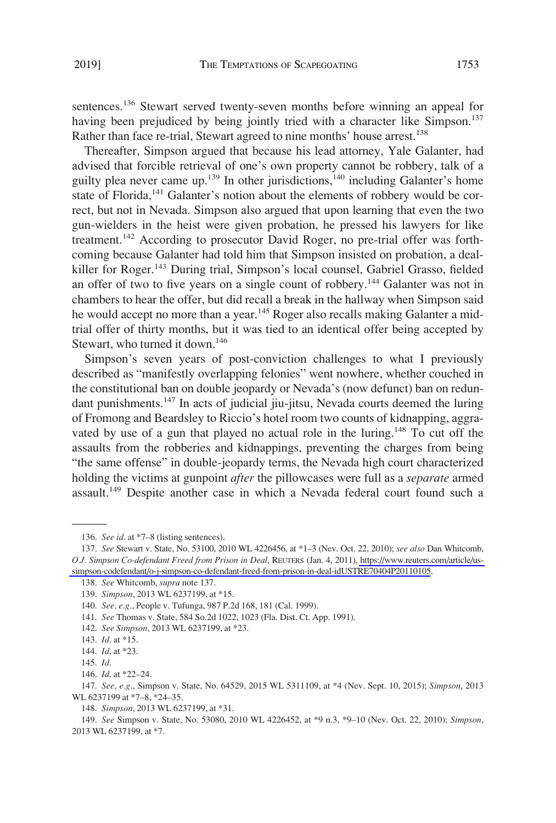sentences.<sup>136</sup> Stewart served twenty-seven months before winning an appeal for having been prejudiced by being jointly tried with a character like Simpson.<sup>137</sup> Rather than face re-trial, Stewart agreed to nine months' house arrest.<sup>138</sup>

Thereafter, Simpson argued that because his lead attorney, Yale Galanter, had advised that forcible retrieval of one's own property cannot be robbery, talk of a guilty plea never came up.<sup>139</sup> In other jurisdictions,<sup>140</sup> including Galanter's home state of Florida,<sup>141</sup> Galanter's notion about the elements of robbery would be correct, but not in Nevada. Simpson also argued that upon learning that even the two gun-wielders in the heist were given probation, he pressed his lawyers for like treatment.142 According to prosecutor David Roger, no pre-trial offer was forthcoming because Galanter had told him that Simpson insisted on probation, a dealkiller for Roger.<sup>143</sup> During trial, Simpson's local counsel, Gabriel Grasso, fielded an offer of two to five years on a single count of robbery.144 Galanter was not in chambers to hear the offer, but did recall a break in the hallway when Simpson said he would accept no more than a year.<sup>145</sup> Roger also recalls making Galanter a midtrial offer of thirty months, but it was tied to an identical offer being accepted by Stewart, who turned it down.<sup>146</sup>

Simpson's seven years of post-conviction challenges to what I previously described as "manifestly overlapping felonies" went nowhere, whether couched in the constitutional ban on double jeopardy or Nevada's (now defunct) ban on redundant punishments.<sup>147</sup> In acts of judicial jiu-jitsu, Nevada courts deemed the luring of Fromong and Beardsley to Riccio's hotel room two counts of kidnapping, aggravated by use of a gun that played no actual role in the luring.<sup>148</sup> To cut off the assaults from the robberies and kidnappings, preventing the charges from being "the same offense" in double-jeopardy terms, the Nevada high court characterized holding the victims at gunpoint *after* the pillowcases were full as a *separate* armed assault.<sup>149</sup> Despite another case in which a Nevada federal court found such a

142. *See Simpson*, 2013 WL 6237199, at \*23.

<sup>136.</sup> *See id*. at \*7–8 (listing sentences).

*See* Stewart v. State, No. 53100, 2010 WL 4226456, at \*1–3 (Nev. Oct. 22, 2010); *see also* Dan Whitcomb, 137. *O.J. Simpson Co-defendant Freed from Prison in Deal*, REUTERS (Jan. 4, 2011), [https://www.reuters.com/article/us](https://www.reuters.com/article/us-simpson-codefendant/o-j-simpson-co-defendant-freed-from-prison-in-deal-idUSTRE70404P20110105)[simpson-codefendant/o-j-simpson-co-defendant-freed-from-prison-in-deal-idUSTRE70404P20110105](https://www.reuters.com/article/us-simpson-codefendant/o-j-simpson-co-defendant-freed-from-prison-in-deal-idUSTRE70404P20110105).

<sup>138.</sup> *See* Whitcomb, *supra* note 137.

<sup>139.</sup> *Simpson*, 2013 WL 6237199, at \*15.

<sup>140.</sup> *See, e.g*., People v. Tufunga, 987 P.2d 168, 181 (Cal. 1999).

<sup>141.</sup> *See* Thomas v. State, 584 So.2d 1022, 1023 (Fla. Dist. Ct. App. 1991).

<sup>143.</sup> *Id*. at \*15.

<sup>144.</sup> *Id*. at \*23.

<sup>145.</sup> *Id*.

<sup>146.</sup> *Id*. at \*22–24.

<sup>147.</sup> *See, e.g*., Simpson v. State, No. 64529, 2015 WL 5311109, at \*4 (Nev. Sept. 10, 2015); *Simpson*, 2013 WL 6237199 at \*7–8, \*24–35.

<sup>148.</sup> *Simpson*, 2013 WL 6237199, at \*31.

<sup>149.</sup> *See* Simpson v. State, No. 53080, 2010 WL 4226452, at \*9 n.3, \*9–10 (Nev. Oct. 22, 2010); *Simpson*, 2013 WL 6237199, at \*7.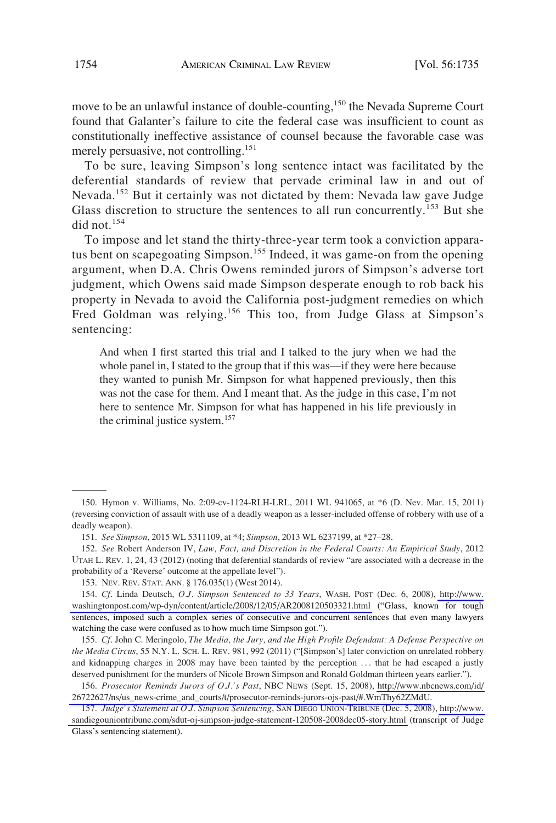move to be an unlawful instance of double-counting,<sup>150</sup> the Nevada Supreme Court found that Galanter's failure to cite the federal case was insufficient to count as constitutionally ineffective assistance of counsel because the favorable case was merely persuasive, not controlling.<sup>151</sup>

To be sure, leaving Simpson's long sentence intact was facilitated by the deferential standards of review that pervade criminal law in and out of Nevada.<sup>152</sup> But it certainly was not dictated by them: Nevada law gave Judge Glass discretion to structure the sentences to all run concurrently.<sup>153</sup> But she did not.<sup>154</sup>

To impose and let stand the thirty-three-year term took a conviction apparatus bent on scapegoating Simpson.<sup>155</sup> Indeed, it was game-on from the opening argument, when D.A. Chris Owens reminded jurors of Simpson's adverse tort judgment, which Owens said made Simpson desperate enough to rob back his property in Nevada to avoid the California post-judgment remedies on which Fred Goldman was relying.<sup>156</sup> This too, from Judge Glass at Simpson's sentencing:

And when I first started this trial and I talked to the jury when we had the whole panel in, I stated to the group that if this was—if they were here because they wanted to punish Mr. Simpson for what happened previously, then this was not the case for them. And I meant that. As the judge in this case, I'm not here to sentence Mr. Simpson for what has happened in his life previously in the criminal justice system.<sup>157</sup>

<sup>150.</sup> Hymon v. Williams, No. 2:09-cv-1124-RLH-LRL, 2011 WL 941065, at \*6 (D. Nev. Mar. 15, 2011) (reversing conviction of assault with use of a deadly weapon as a lesser-included offense of robbery with use of a deadly weapon).

<sup>151.</sup> *See Simpson*, 2015 WL 5311109, at \*4; *Simpson*, 2013 WL 6237199, at \*27–28.

<sup>152.</sup> *See* Robert Anderson IV, *Law, Fact, and Discretion in the Federal Courts: An Empirical Study*, 2012 UTAH L. REV. 1, 24, 43 (2012) (noting that deferential standards of review "are associated with a decrease in the probability of a 'Reverse' outcome at the appellate level").

<sup>153.</sup> NEV. REV. STAT. ANN. § 176.035(1) (West 2014).

*Cf*. Linda Deutsch, *O.J. Simpson Sentenced to 33 Years*, WASH. POST (Dec. 6, 2008), [http://www.](http://www.washingtonpost.com/wp-dyn/content/article/2008/12/05/AR2008120503321.html) 154. [washingtonpost.com/wp-dyn/content/article/2008/12/05/AR2008120503321.html](http://www.washingtonpost.com/wp-dyn/content/article/2008/12/05/AR2008120503321.html) ("Glass, known for tough sentences, imposed such a complex series of consecutive and concurrent sentences that even many lawyers watching the case were confused as to how much time Simpson got.").

<sup>155.</sup> *Cf*. John C. Meringolo, *The Media, the Jury, and the High Profile Defendant: A Defense Perspective on the Media Circus*, 55 N.Y. L. SCH. L. REV. 981, 992 (2011) ("[Simpson's] later conviction on unrelated robbery and kidnapping charges in 2008 may have been tainted by the perception ... that he had escaped a justly deserved punishment for the murders of Nicole Brown Simpson and Ronald Goldman thirteen years earlier.").

*Prosecutor Reminds Jurors of O.J.'s Past*, NBC NEWS (Sept. 15, 2008), [http://www.nbcnews.com/id/](http://www.nbcnews.com/id/26722627/ns/us_news-crime_and_courts/t/prosecutor-reminds-jurors-ojs-past/#.WmThy62ZMdU)  156. [26722627/ns/us\\_news-crime\\_and\\_courts/t/prosecutor-reminds-jurors-ojs-past/#.WmThy62ZMdU.](http://www.nbcnews.com/id/26722627/ns/us_news-crime_and_courts/t/prosecutor-reminds-jurors-ojs-past/#.WmThy62ZMdU)

<sup>157.</sup>  *Judge's Statement at O.J. Simpson Sentencing*, SAN DIEGO UNION-TRIBUNE (Dec. 5, 2008), [http://www.](http://www.sandiegouniontribune.com/sdut-oj-simpson-judge-statement-120508-2008dec05-story.html)  [sandiegouniontribune.com/sdut-oj-simpson-judge-statement-120508-2008dec05-story.html](http://www.sandiegouniontribune.com/sdut-oj-simpson-judge-statement-120508-2008dec05-story.html) (transcript of Judge Glass's sentencing statement).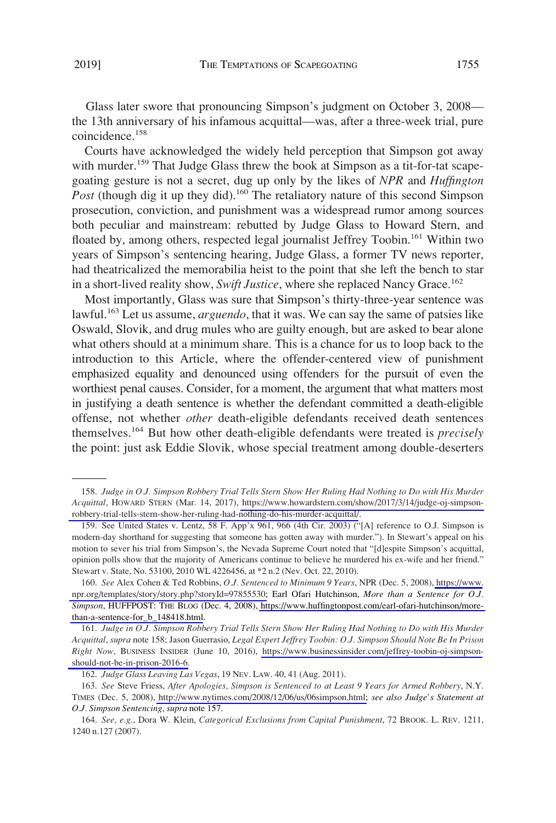Glass later swore that pronouncing Simpson's judgment on October 3, 2008 the 13th anniversary of his infamous acquittal—was, after a three-week trial, pure coincidence.<sup>158</sup>

Courts have acknowledged the widely held perception that Simpson got away with murder.<sup>159</sup> That Judge Glass threw the book at Simpson as a tit-for-tat scapegoating gesture is not a secret, dug up only by the likes of *NPR* and *Huffington*  Post (though dig it up they did).<sup>160</sup> The retaliatory nature of this second Simpson prosecution, conviction, and punishment was a widespread rumor among sources both peculiar and mainstream: rebutted by Judge Glass to Howard Stern, and floated by, among others, respected legal journalist Jeffrey Toobin.<sup>161</sup> Within two years of Simpson's sentencing hearing, Judge Glass, a former TV news reporter, had theatricalized the memorabilia heist to the point that she left the bench to star in a short-lived reality show, *Swift Justice*, where she replaced Nancy Grace.<sup>162</sup>

Most importantly, Glass was sure that Simpson's thirty-three-year sentence was lawful.<sup>163</sup> Let us assume, *arguendo*, that it was. We can say the same of patsies like Oswald, Slovik, and drug mules who are guilty enough, but are asked to bear alone what others should at a minimum share. This is a chance for us to loop back to the introduction to this Article, where the offender-centered view of punishment emphasized equality and denounced using offenders for the pursuit of even the worthiest penal causes. Consider, for a moment, the argument that what matters most in justifying a death sentence is whether the defendant committed a death-eligible offense, not whether *other* death-eligible defendants received death sentences themselves.164 But how other death-eligible defendants were treated is *precisely*  the point: just ask Eddie Slovik, whose special treatment among double-deserters

<sup>158.</sup> Judge in O.J. Simpson Robbery Trial Tells Stern Show Her Ruling Had Nothing to Do with His Murder *Acquittal*, HOWARD STERN (Mar. 14, 2017), [https://www.howardstern.com/show/2017/3/14/judge-oj-simpson](https://www.howardstern.com/show/2017/3/14/judge-oj-simpson-robbery-trial-tells-stern-show-her-ruling-had-nothing-do-his-murder-acquittal/)[robbery-trial-tells-stern-show-her-ruling-had-nothing-do-his-murder-acquittal/](https://www.howardstern.com/show/2017/3/14/judge-oj-simpson-robbery-trial-tells-stern-show-her-ruling-had-nothing-do-his-murder-acquittal/).

<sup>159.</sup> See United States v. Lentz, 58 F. App'x 961, 966 (4th Cir. 2003) ("[A] reference to O.J. Simpson is modern-day shorthand for suggesting that someone has gotten away with murder."). In Stewart's appeal on his motion to sever his trial from Simpson's, the Nevada Supreme Court noted that "[d]espite Simpson's acquittal, opinion polls show that the majority of Americans continue to believe he murdered his ex-wife and her friend." Stewart v. State, No. 53100, 2010 WL 4226456, at \*2 n.2 (Nev. Oct. 22, 2010).

*See* Alex Cohen & Ted Robbins, *O.J. Sentenced to Minimum 9 Years*, NPR (Dec. 5, 2008), [https://www.](https://www.npr.org/templates/story/story.php?storyId=97855530) 160. [npr.org/templates/story/story.php?storyId=97855530;](https://www.npr.org/templates/story/story.php?storyId=97855530) Earl Ofari Hutchinson, *More than a Sentence for O.J. Simpson*, HUFFPOST: THE BLOG (Dec. 4, 2008), [https://www.huffingtonpost.com/earl-ofari-hutchinson/more](https://www.huffingtonpost.com/earl-ofari-hutchinson/more-than-a-sentence-for_b_148418.html)[than-a-sentence-for\\_b\\_148418.html](https://www.huffingtonpost.com/earl-ofari-hutchinson/more-than-a-sentence-for_b_148418.html).

<sup>161.</sup> Judge in O.J. Simpson Robbery Trial Tells Stern Show Her Ruling Had Nothing to Do with His Murder *Acquittal*, *supra* note 158; Jason Guerrasio, *Legal Expert Jeffrey Toobin: O.J. Simpson Should Note Be In Prison Right Now*, BUSINESS INSIDER (June 10, 2016), [https://www.businessinsider.com/jeffrey-toobin-oj-simpson](https://www.businessinsider.com/jeffrey-toobin-oj-simpson-should-not-be-in-prison-2016-6)[should-not-be-in-prison-2016-6.](https://www.businessinsider.com/jeffrey-toobin-oj-simpson-should-not-be-in-prison-2016-6)

<sup>162.</sup> *Judge Glass Leaving Las Vegas*, 19 NEV. LAW. 40, 41 (Aug. 2011).

*See* Steve Friess, *After Apologies, Simpson is Sentenced to at Least 9 Years for Armed Robbery*, N.Y. 163. TIMES (Dec. 5, 2008), [http://www.nytimes.com/2008/12/06/us/06simpson.html;](http://www.nytimes.com/2008/12/06/us/06simpson.html) *see also Judge's Statement at O.J. Simpson Sentencing*, *supra* note 157.

<sup>164.</sup> *See, e.g*., Dora W. Klein, *Categorical Exclusions from Capital Punishment*, 72 BROOK. L. REV. 1211, 1240 n.127 (2007).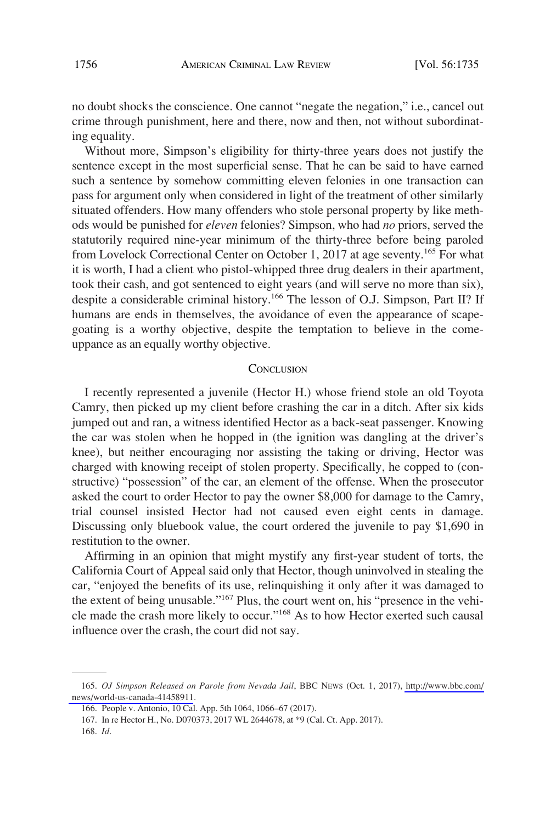no doubt shocks the conscience. One cannot "negate the negation," i.e., cancel out crime through punishment, here and there, now and then, not without subordinating equality.

Without more, Simpson's eligibility for thirty-three years does not justify the sentence except in the most superficial sense. That he can be said to have earned such a sentence by somehow committing eleven felonies in one transaction can pass for argument only when considered in light of the treatment of other similarly situated offenders. How many offenders who stole personal property by like methods would be punished for *eleven* felonies? Simpson, who had *no* priors, served the statutorily required nine-year minimum of the thirty-three before being paroled from Lovelock Correctional Center on October 1, 2017 at age seventy.<sup>165</sup> For what it is worth, I had a client who pistol-whipped three drug dealers in their apartment, took their cash, and got sentenced to eight years (and will serve no more than six), despite a considerable criminal history.166 The lesson of O.J. Simpson, Part II? If humans are ends in themselves, the avoidance of even the appearance of scapegoating is a worthy objective, despite the temptation to believe in the comeuppance as an equally worthy objective.

## **CONCLUSION**

I recently represented a juvenile (Hector H.) whose friend stole an old Toyota Camry, then picked up my client before crashing the car in a ditch. After six kids jumped out and ran, a witness identified Hector as a back-seat passenger. Knowing the car was stolen when he hopped in (the ignition was dangling at the driver's knee), but neither encouraging nor assisting the taking or driving, Hector was charged with knowing receipt of stolen property. Specifically, he copped to (constructive) "possession" of the car, an element of the offense. When the prosecutor asked the court to order Hector to pay the owner \$8,000 for damage to the Camry, trial counsel insisted Hector had not caused even eight cents in damage. Discussing only bluebook value, the court ordered the juvenile to pay \$1,690 in restitution to the owner.

Affirming in an opinion that might mystify any first-year student of torts, the California Court of Appeal said only that Hector, though uninvolved in stealing the car, "enjoyed the benefits of its use, relinquishing it only after it was damaged to the extent of being unusable."167 Plus, the court went on, his "presence in the vehicle made the crash more likely to occur."168 As to how Hector exerted such causal influence over the crash, the court did not say.

*OJ Simpson Released on Parole from Nevada Jail*, BBC NEWS (Oct. 1, 2017), [http://www.bbc.com/](http://www.bbc.com/news/world-us-canada-41458911) 165. [news/world-us-canada-41458911](http://www.bbc.com/news/world-us-canada-41458911) .

<sup>166.</sup> People v. Antonio, 10 Cal. App. 5th 1064, 1066–67 (2017).

<sup>167.</sup> In re Hector H., No. D070373, 2017 WL 2644678, at \*9 (Cal. Ct. App. 2017).

<sup>168.</sup> *Id*.